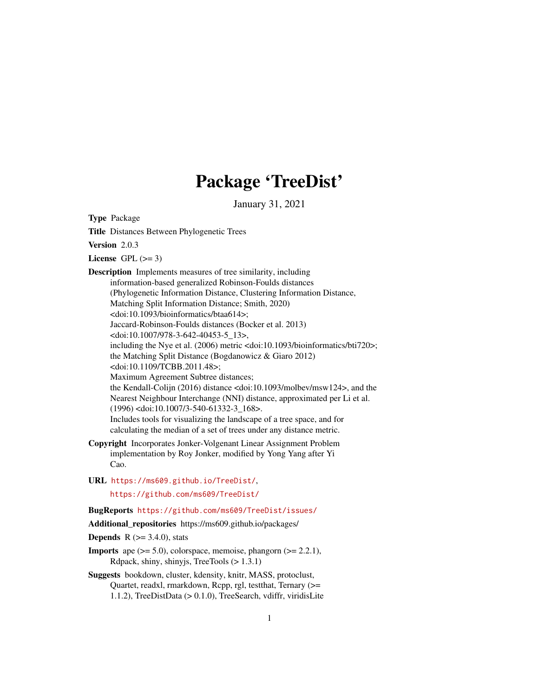# Package 'TreeDist'

January 31, 2021

<span id="page-0-0"></span>Type Package

Title Distances Between Phylogenetic Trees

Version 2.0.3

License GPL  $(>= 3)$ 

Description Implements measures of tree similarity, including information-based generalized Robinson-Foulds distances (Phylogenetic Information Distance, Clustering Information Distance, Matching Split Information Distance; Smith, 2020) <doi:10.1093/bioinformatics/btaa614>; Jaccard-Robinson-Foulds distances (Bocker et al. 2013) <doi:10.1007/978-3-642-40453-5\_13>, including the Nye et al. (2006) metric <doi:10.1093/bioinformatics/bti720>; the Matching Split Distance (Bogdanowicz & Giaro 2012) <doi:10.1109/TCBB.2011.48>; Maximum Agreement Subtree distances; the Kendall-Colijn (2016) distance <doi:10.1093/molbev/msw124>, and the Nearest Neighbour Interchange (NNI) distance, approximated per Li et al. (1996) <doi:10.1007/3-540-61332-3\_168>. Includes tools for visualizing the landscape of a tree space, and for calculating the median of a set of trees under any distance metric.

- Copyright Incorporates Jonker-Volgenant Linear Assignment Problem implementation by Roy Jonker, modified by Yong Yang after Yi Cao.
- URL <https://ms609.github.io/TreeDist/>, <https://github.com/ms609/TreeDist/>

BugReports <https://github.com/ms609/TreeDist/issues/>

Additional repositories https://ms609.github.io/packages/

**Depends** R  $(>= 3.4.0)$ , stats

- **Imports** ape  $(>= 5.0)$ , colorspace, memoise, phangorn  $(>= 2.2.1)$ , Rdpack, shiny, shinyjs, TreeTools (> 1.3.1)
- Suggests bookdown, cluster, kdensity, knitr, MASS, protoclust, Quartet, readxl, rmarkdown, Rcpp, rgl, testthat, Ternary (>= 1.1.2), TreeDistData (> 0.1.0), TreeSearch, vdiffr, viridisLite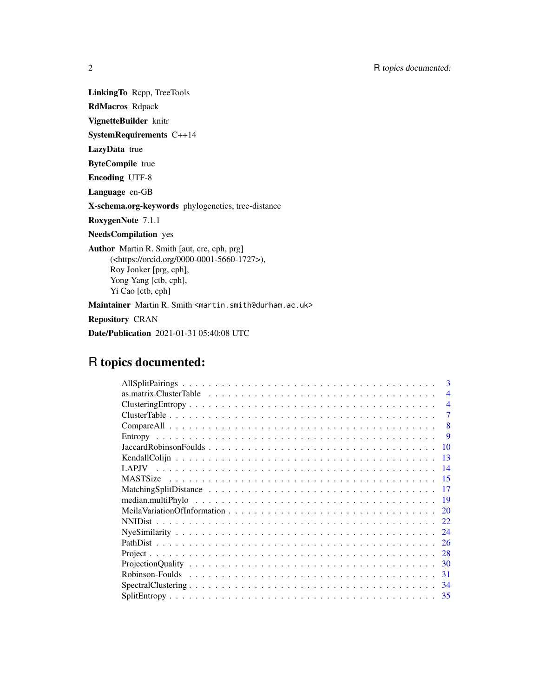LinkingTo Rcpp, TreeTools

RdMacros Rdpack

VignetteBuilder knitr

SystemRequirements C++14

LazyData true

ByteCompile true

Encoding UTF-8

Language en-GB

X-schema.org-keywords phylogenetics, tree-distance

RoxygenNote 7.1.1

NeedsCompilation yes

Author Martin R. Smith [aut, cre, cph, prg] (<https://orcid.org/0000-0001-5660-1727>), Roy Jonker [prg, cph], Yong Yang [ctb, cph], Yi Cao [ctb, cph]

Maintainer Martin R. Smith <martin.smith@durham.ac.uk>

Repository CRAN

Date/Publication 2021-01-31 05:40:08 UTC

# R topics documented:

| 3                                                                                                                         |
|---------------------------------------------------------------------------------------------------------------------------|
| $\overline{4}$                                                                                                            |
| $\overline{4}$                                                                                                            |
| 7                                                                                                                         |
| 8                                                                                                                         |
| 9                                                                                                                         |
| 10                                                                                                                        |
| 13                                                                                                                        |
| 14                                                                                                                        |
| 15                                                                                                                        |
|                                                                                                                           |
| 19                                                                                                                        |
| 20                                                                                                                        |
| 22                                                                                                                        |
| 24                                                                                                                        |
| 26                                                                                                                        |
| 28                                                                                                                        |
| $ProjectionQuality \dots \dots \dots \dots \dots \dots \dots \dots \dots \dots \dots \dots \dots \dots \dots \dots$<br>30 |
| 31                                                                                                                        |
| 34                                                                                                                        |
| 35                                                                                                                        |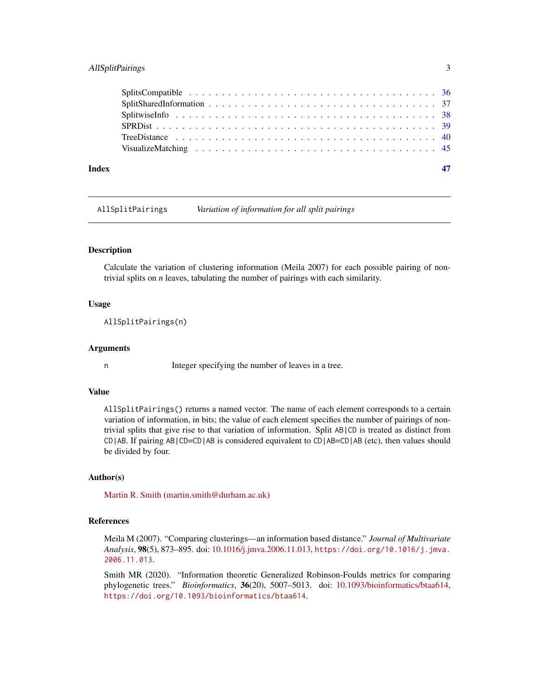# <span id="page-2-0"></span>AllSplitPairings 3

| Index |  |
|-------|--|
|       |  |
|       |  |
|       |  |
|       |  |
|       |  |
|       |  |
|       |  |

AllSplitPairings *Variation of information for all split pairings*

#### **Description**

Calculate the variation of clustering information (Meila 2007) for each possible pairing of nontrivial splits on *n* leaves, tabulating the number of pairings with each similarity.

#### Usage

AllSplitPairings(n)

#### Arguments

n Integer specifying the number of leaves in a tree.

# Value

AllSplitPairings() returns a named vector. The name of each element corresponds to a certain variation of information, in bits; the value of each element specifies the number of pairings of nontrivial splits that give rise to that variation of information. Split AB|CD is treated as distinct from CD|AB. If pairing AB|CD=CD|AB is considered equivalent to CD|AB=CD|AB (etc), then values should be divided by four.

# Author(s)

[Martin R. Smith](https://orcid.org/0000-0001-5660-1727) [\(martin.smith@durham.ac.uk\)](mailto:martin.smith@durham.ac.uk)

# References

Meila M (2007). "Comparing clusterings—an information based distance." *Journal of Multivariate Analysis*, 98(5), 873–895. doi: [10.1016/j.jmva.2006.11.013,](https://doi.org/10.1016/j.jmva.2006.11.013) [https://doi.org/10.1016/j.jmva.](https://doi.org/10.1016/j.jmva.2006.11.013) [2006.11.013](https://doi.org/10.1016/j.jmva.2006.11.013).

Smith MR (2020). "Information theoretic Generalized Robinson-Foulds metrics for comparing phylogenetic trees." *Bioinformatics*, 36(20), 5007–5013. doi: [10.1093/bioinformatics/btaa614,](https://doi.org/10.1093/bioinformatics/btaa614) <https://doi.org/10.1093/bioinformatics/btaa614>.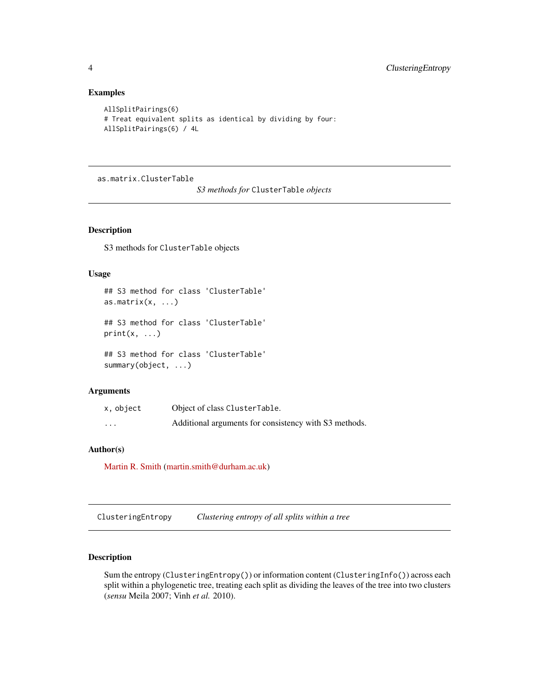### Examples

```
AllSplitPairings(6)
# Treat equivalent splits as identical by dividing by four:
AllSplitPairings(6) / 4L
```
as.matrix.ClusterTable

*S3 methods for* ClusterTable *objects*

#### <span id="page-3-1"></span>Description

S3 methods for ClusterTable objects

# Usage

```
## S3 method for class 'ClusterTable'
as.matrix(x, \ldots)## S3 method for class 'ClusterTable'
print(x, \ldots)## S3 method for class 'ClusterTable'
```
summary(object, ...)

#### Arguments

| x, object | Object of class ClusterTable.                         |
|-----------|-------------------------------------------------------|
| $\cdots$  | Additional arguments for consistency with S3 methods. |

# Author(s)

[Martin R. Smith](https://orcid.org/0000-0001-5660-1727) [\(martin.smith@durham.ac.uk\)](mailto:martin.smith@durham.ac.uk)

<span id="page-3-2"></span>ClusteringEntropy *Clustering entropy of all splits within a tree*

# Description

Sum the entropy (ClusteringEntropy()) or information content (ClusteringInfo()) across each split within a phylogenetic tree, treating each split as dividing the leaves of the tree into two clusters (*sensu* Meila 2007; Vinh *et al.* 2010).

<span id="page-3-0"></span>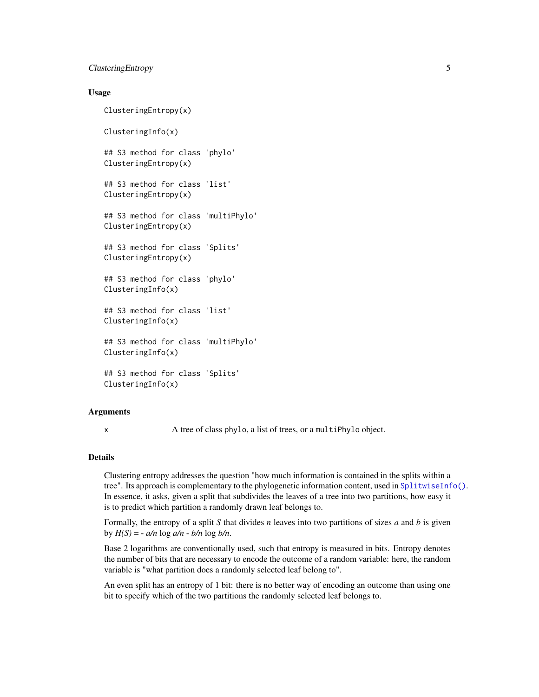# <span id="page-4-0"></span>ClusteringEntropy 5

#### Usage

ClusteringEntropy(x)

ClusteringInfo(x)

## S3 method for class 'phylo' ClusteringEntropy(x)

## S3 method for class 'list' ClusteringEntropy(x)

## S3 method for class 'multiPhylo' ClusteringEntropy(x)

## S3 method for class 'Splits' ClusteringEntropy(x)

## S3 method for class 'phylo' ClusteringInfo(x)

## S3 method for class 'list' ClusteringInfo(x)

## S3 method for class 'multiPhylo' ClusteringInfo(x)

## S3 method for class 'Splits' ClusteringInfo(x)

### Arguments

x A tree of class phylo, a list of trees, or a multiPhylo object.

#### Details

Clustering entropy addresses the question "how much information is contained in the splits within a tree". Its approach is complementary to the phylogenetic information content, used in [SplitwiseInfo\(\)](#page-37-1). In essence, it asks, given a split that subdivides the leaves of a tree into two partitions, how easy it is to predict which partition a randomly drawn leaf belongs to.

Formally, the entropy of a split *S* that divides *n* leaves into two partitions of sizes *a* and *b* is given by  $H(S) = -a/n \log a/n - b/n \log b/n$ .

Base 2 logarithms are conventionally used, such that entropy is measured in bits. Entropy denotes the number of bits that are necessary to encode the outcome of a random variable: here, the random variable is "what partition does a randomly selected leaf belong to".

An even split has an entropy of 1 bit: there is no better way of encoding an outcome than using one bit to specify which of the two partitions the randomly selected leaf belongs to.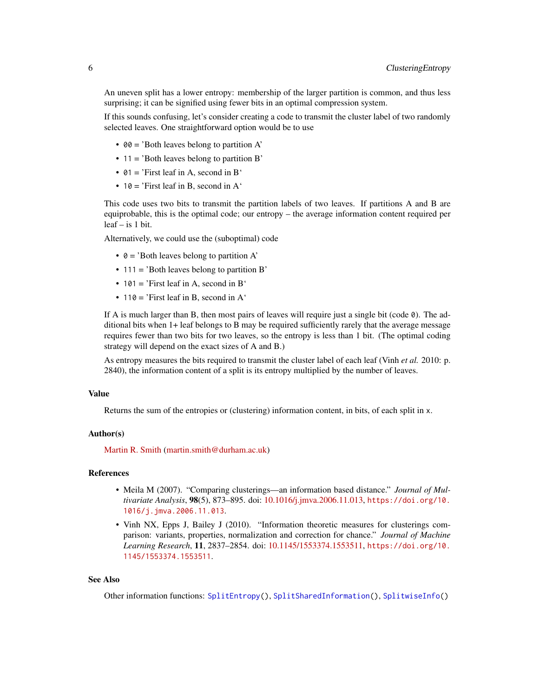<span id="page-5-0"></span>An uneven split has a lower entropy: membership of the larger partition is common, and thus less surprising; it can be signified using fewer bits in an optimal compression system.

If this sounds confusing, let's consider creating a code to transmit the cluster label of two randomly selected leaves. One straightforward option would be to use

- 00 = 'Both leaves belong to partition A'
- 11 = 'Both leaves belong to partition B'
- $01 = 'First leaf in A, second in B'$
- 10 = 'First leaf in B, second in  $A'$

This code uses two bits to transmit the partition labels of two leaves. If partitions A and B are equiprobable, this is the optimal code; our entropy – the average information content required per leaf – is 1 bit.

Alternatively, we could use the (suboptimal) code

- $\theta =$  'Both leaves belong to partition A'
- 111 = 'Both leaves belong to partition B'
- 101 = 'First leaf in A, second in B'
- 110 = 'First leaf in B, second in  $A'$

If A is much larger than B, then most pairs of leaves will require just a single bit (code  $\emptyset$ ). The additional bits when 1+ leaf belongs to B may be required sufficiently rarely that the average message requires fewer than two bits for two leaves, so the entropy is less than 1 bit. (The optimal coding strategy will depend on the exact sizes of A and B.)

As entropy measures the bits required to transmit the cluster label of each leaf (Vinh *et al.* 2010: p. 2840), the information content of a split is its entropy multiplied by the number of leaves.

#### Value

Returns the sum of the entropies or (clustering) information content, in bits, of each split in x.

#### Author(s)

[Martin R. Smith](https://orcid.org/0000-0001-5660-1727) [\(martin.smith@durham.ac.uk\)](mailto:martin.smith@durham.ac.uk)

#### References

- Meila M (2007). "Comparing clusterings—an information based distance." *Journal of Multivariate Analysis*, 98(5), 873–895. doi: [10.1016/j.jmva.2006.11.013,](https://doi.org/10.1016/j.jmva.2006.11.013) [https://doi.org/10.](https://doi.org/10.1016/j.jmva.2006.11.013) [1016/j.jmva.2006.11.013](https://doi.org/10.1016/j.jmva.2006.11.013).
- Vinh NX, Epps J, Bailey J (2010). "Information theoretic measures for clusterings comparison: variants, properties, normalization and correction for chance." *Journal of Machine Learning Research*, 11, 2837–2854. doi: [10.1145/1553374.1553511,](https://doi.org/10.1145/1553374.1553511) [https://doi.org/10.](https://doi.org/10.1145/1553374.1553511) [1145/1553374.1553511](https://doi.org/10.1145/1553374.1553511).

#### See Also

Other information functions: [SplitEntropy\(](#page-34-1)), [SplitSharedInformation\(](#page-36-1)), [SplitwiseInfo\(](#page-37-1))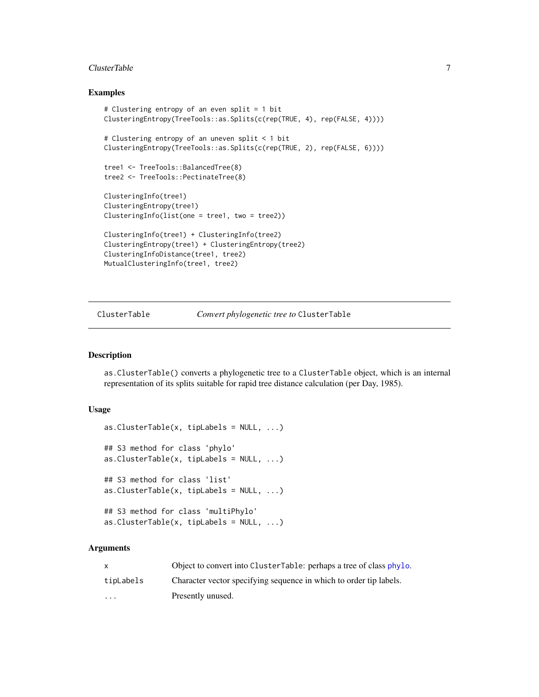#### <span id="page-6-0"></span>ClusterTable 2012 2013 2014 2022 2023 2024 2022 2023 2024 2022 2023 2024 2022 2023 2024 2022 2023 2024 2022 20

### Examples

```
# Clustering entropy of an even split = 1 bit
ClusteringEntropy(TreeTools::as.Splits(c(rep(TRUE, 4), rep(FALSE, 4))))
# Clustering entropy of an uneven split < 1 bit
ClusteringEntropy(TreeTools::as.Splits(c(rep(TRUE, 2), rep(FALSE, 6))))
tree1 <- TreeTools::BalancedTree(8)
tree2 <- TreeTools::PectinateTree(8)
ClusteringInfo(tree1)
ClusteringEntropy(tree1)
ClusteringInfo(list(one = tree1, two = tree2))
ClusteringInfo(tree1) + ClusteringInfo(tree2)
ClusteringEntropy(tree1) + ClusteringEntropy(tree2)
ClusteringInfoDistance(tree1, tree2)
MutualClusteringInfo(tree1, tree2)
```
ClusterTable *Convert phylogenetic tree to* ClusterTable

#### Description

as.ClusterTable() converts a phylogenetic tree to a ClusterTable object, which is an internal representation of its splits suitable for rapid tree distance calculation (per Day, 1985).

#### Usage

```
as. ClusterTable(x, tiplabels = NULL, ...)## S3 method for class 'phylo'
as. ClusterTable(x, tipLabels = NULL, ...)## S3 method for class 'list'
as. ClusterTable(x, tipLabels = NULL, ...)## S3 method for class 'multiPhylo'
as. ClusterTable(x, tipLabels = NULL, ...)
```
#### Arguments

| X         | Object to convert into ClusterTable: perhaps a tree of class phylo. |
|-----------|---------------------------------------------------------------------|
| tipLabels | Character vector specifying sequence in which to order tip labels.  |
| .         | Presently unused.                                                   |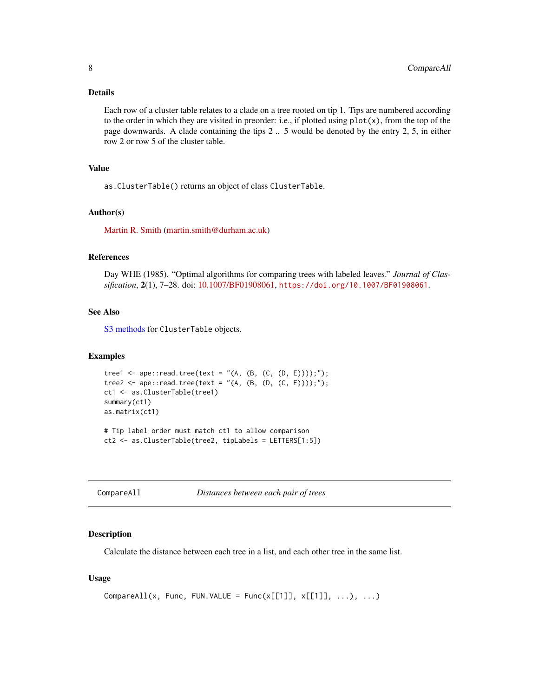# <span id="page-7-0"></span>Details

Each row of a cluster table relates to a clade on a tree rooted on tip 1. Tips are numbered according to the order in which they are visited in preorder: i.e., if plotted using  $plot(x)$ , from the top of the page downwards. A clade containing the tips 2 .. 5 would be denoted by the entry 2, 5, in either row 2 or row 5 of the cluster table.

# Value

as.ClusterTable() returns an object of class ClusterTable.

# Author(s)

[Martin R. Smith](https://orcid.org/0000-0001-5660-1727) [\(martin.smith@durham.ac.uk\)](mailto:martin.smith@durham.ac.uk)

#### References

Day WHE (1985). "Optimal algorithms for comparing trees with labeled leaves." *Journal of Classification*, 2(1), 7–28. doi: [10.1007/BF01908061,](https://doi.org/10.1007/BF01908061) <https://doi.org/10.1007/BF01908061>.

#### See Also

[S3 methods](#page-3-1) for ClusterTable objects.

#### Examples

```
tree1 <- ape::read.tree(text = "(A, (B, (C, (D, E))));");
tree2 <- ape::read.tree(text = "(A, (B, (D, (C, E))));");
ct1 <- as.ClusterTable(tree1)
summary(ct1)
as.matrix(ct1)
# Tip label order must match ct1 to allow comparison
ct2 <- as.ClusterTable(tree2, tipLabels = LETTERS[1:5])
```
CompareAll *Distances between each pair of trees*

#### Description

Calculate the distance between each tree in a list, and each other tree in the same list.

#### Usage

```
CompareAll(x, Func, FUN.VALUE = Func(x[[1]], x[[1]], ...), ...)
```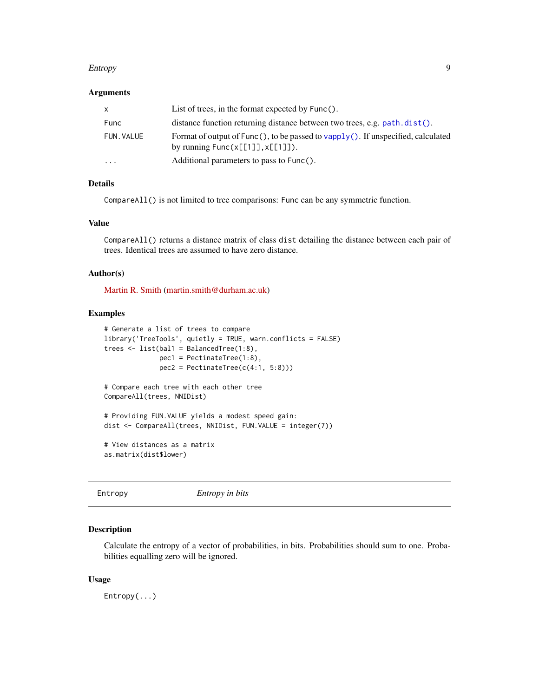#### <span id="page-8-0"></span>Entropy 9

# Arguments

| x          | List of trees, in the format expected by $Func()$ .                                                                    |
|------------|------------------------------------------------------------------------------------------------------------------------|
| Func       | distance function returning distance between two trees, e.g. path.dist().                                              |
| FUN. VALUE | Format of output of Func(), to be passed to vapply(). If unspecified, calculated<br>by running $Func(x[[1]], x[[1]]).$ |
| $\ddotsc$  | Additional parameters to pass to Func().                                                                               |

# Details

CompareAll() is not limited to tree comparisons: Func can be any symmetric function.

# Value

CompareAll() returns a distance matrix of class dist detailing the distance between each pair of trees. Identical trees are assumed to have zero distance.

#### Author(s)

[Martin R. Smith](https://orcid.org/0000-0001-5660-1727) [\(martin.smith@durham.ac.uk\)](mailto:martin.smith@durham.ac.uk)

#### Examples

```
# Generate a list of trees to compare
library('TreeTools', quietly = TRUE, warn.conflicts = FALSE)
trees <- list(bal1 = BalancedTree(1:8),
             pec1 = PectinateTree(1:8),
             pec2 = PectinateTree(c(4:1, 5:8)))# Compare each tree with each other tree
CompareAll(trees, NNIDist)
# Providing FUN.VALUE yields a modest speed gain:
dist <- CompareAll(trees, NNIDist, FUN.VALUE = integer(7))
# View distances as a matrix
as.matrix(dist$lower)
```

| Entropy in bits<br>Entropy |
|----------------------------|
|----------------------------|

#### Description

Calculate the entropy of a vector of probabilities, in bits. Probabilities should sum to one. Probabilities equalling zero will be ignored.

#### Usage

Entropy(...)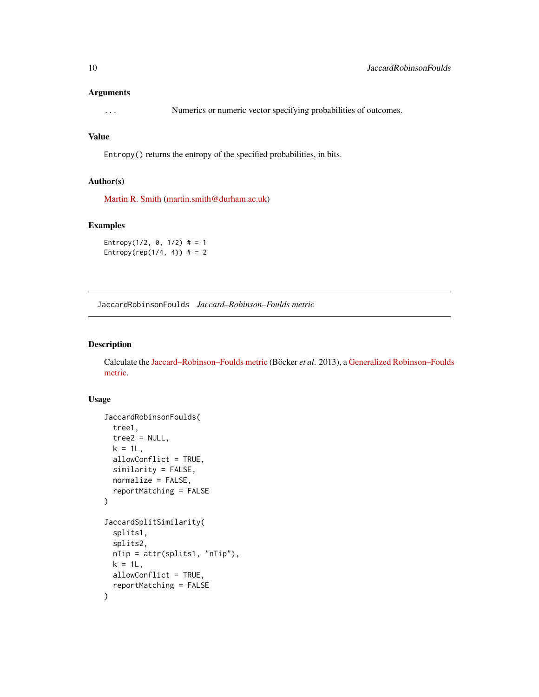#### <span id="page-9-0"></span>Arguments

... Numerics or numeric vector specifying probabilities of outcomes.

# Value

Entropy() returns the entropy of the specified probabilities, in bits.

#### Author(s)

[Martin R. Smith](https://orcid.org/0000-0001-5660-1727) [\(martin.smith@durham.ac.uk\)](mailto:martin.smith@durham.ac.uk)

#### Examples

```
Entropy(1/2, 0, 1/2) # = 1
Entropy(rep(1/4, 4)) # = 2
```
<span id="page-9-1"></span>JaccardRobinsonFoulds *Jaccard–Robinson–Foulds metric*

# Description

Calculate the [Jaccard–Robinson–Foulds metric](https://ms609.github.io/TreeDist/articles/Generalized-RF.html#jaccard-robinson-foulds-metric) (Böcker *et al*. 2013), a [Generalized Robinson–Foulds](https://ms609.github.io/TreeDist/articles/Robinson-Foulds.html#generalized-robinson-foulds-distances) [metric.](https://ms609.github.io/TreeDist/articles/Robinson-Foulds.html#generalized-robinson-foulds-distances)

#### Usage

```
JaccardRobinsonFoulds(
  tree1,
  tree2 = NULL,
 k = 1L,
 allowConflict = TRUE,
  similarity = FALSE,
 normalize = FALSE,
 reportMatching = FALSE
)
JaccardSplitSimilarity(
  splits1,
  splits2,
 nTip = attr(splits1, "nTip"),
 k = 1L,
 allowConflict = TRUE,
  reportMatching = FALSE
)
```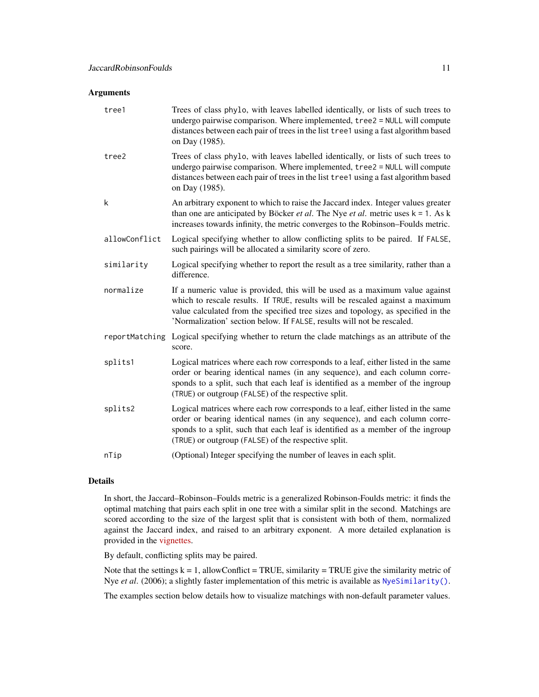# <span id="page-10-0"></span>Arguments

| tree1          | Trees of class phylo, with leaves labelled identically, or lists of such trees to<br>undergo pairwise comparison. Where implemented, tree2 = NULL will compute<br>distances between each pair of trees in the list tree1 using a fast algorithm based<br>on Day (1985).                                                     |
|----------------|-----------------------------------------------------------------------------------------------------------------------------------------------------------------------------------------------------------------------------------------------------------------------------------------------------------------------------|
| tree2          | Trees of class phylo, with leaves labelled identically, or lists of such trees to<br>undergo pairwise comparison. Where implemented, tree2 = NULL will compute<br>distances between each pair of trees in the list tree1 using a fast algorithm based<br>on Day (1985).                                                     |
| k              | An arbitrary exponent to which to raise the Jaccard index. Integer values greater<br>than one are anticipated by Böcker <i>et al</i> . The Nye <i>et al.</i> metric uses $k = 1$ . As k<br>increases towards infinity, the metric converges to the Robinson-Foulds metric.                                                  |
| allowConflict  | Logical specifying whether to allow conflicting splits to be paired. If FALSE,<br>such pairings will be allocated a similarity score of zero.                                                                                                                                                                               |
| similarity     | Logical specifying whether to report the result as a tree similarity, rather than a<br>difference.                                                                                                                                                                                                                          |
| normalize      | If a numeric value is provided, this will be used as a maximum value against<br>which to rescale results. If TRUE, results will be rescaled against a maximum<br>value calculated from the specified tree sizes and topology, as specified in the<br>'Normalization' section below. If FALSE, results will not be rescaled. |
| reportMatching | Logical specifying whether to return the clade matchings as an attribute of the<br>score.                                                                                                                                                                                                                                   |
| splits1        | Logical matrices where each row corresponds to a leaf, either listed in the same<br>order or bearing identical names (in any sequence), and each column corre-<br>sponds to a split, such that each leaf is identified as a member of the ingroup<br>(TRUE) or outgroup (FALSE) of the respective split.                    |
| splits2        | Logical matrices where each row corresponds to a leaf, either listed in the same<br>order or bearing identical names (in any sequence), and each column corre-<br>sponds to a split, such that each leaf is identified as a member of the ingroup<br>(TRUE) or outgroup (FALSE) of the respective split.                    |
| nTip           | (Optional) Integer specifying the number of leaves in each split.                                                                                                                                                                                                                                                           |

# Details

In short, the Jaccard–Robinson–Foulds metric is a generalized Robinson-Foulds metric: it finds the optimal matching that pairs each split in one tree with a similar split in the second. Matchings are scored according to the size of the largest split that is consistent with both of them, normalized against the Jaccard index, and raised to an arbitrary exponent. A more detailed explanation is provided in the [vignettes.](https://ms609.github.io/TreeDist/articles/Generalized-RF.html#jaccard-robinson-foulds-metric)

By default, conflicting splits may be paired.

Note that the settings  $k = 1$ , allowConflict = TRUE, similarity = TRUE give the similarity metric of Nye et al. (2006); a slightly faster implementation of this metric is available as [NyeSimilarity\(\)](#page-23-1).

The examples section below details how to visualize matchings with non-default parameter values.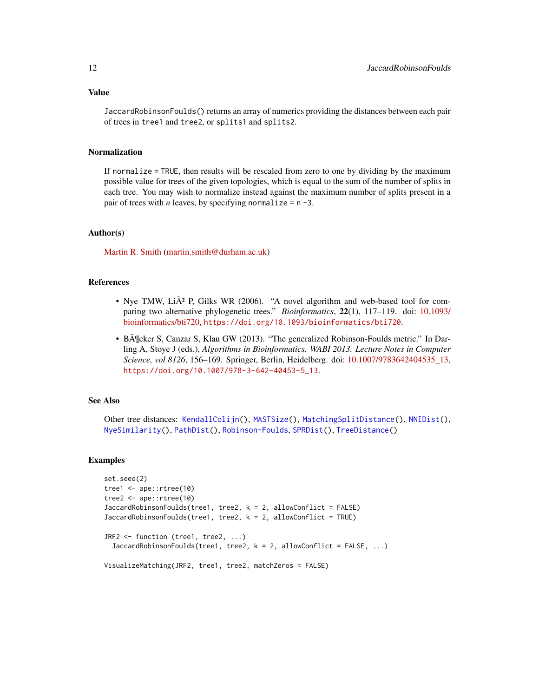<span id="page-11-0"></span>JaccardRobinsonFoulds() returns an array of numerics providing the distances between each pair of trees in tree1 and tree2, or splits1 and splits2.

# Normalization

If normalize = TRUE, then results will be rescaled from zero to one by dividing by the maximum possible value for trees of the given topologies, which is equal to the sum of the number of splits in each tree. You may wish to normalize instead against the maximum number of splits present in a pair of trees with *n* leaves, by specifying normalize =  $n - 3$ .

#### Author(s)

[Martin R. Smith](https://orcid.org/0000-0001-5660-1727) [\(martin.smith@durham.ac.uk\)](mailto:martin.smith@durham.ac.uk)

# References

- Nye TMW, Li $\AA$ <sup>2</sup> P, Gilks WR (2006). "A novel algorithm and web-based tool for comparing two alternative phylogenetic trees." *Bioinformatics*, 22(1), 117–119. doi: [10.1093/](https://doi.org/10.1093/bioinformatics/bti720) [bioinformatics/bti720,](https://doi.org/10.1093/bioinformatics/bti720) <https://doi.org/10.1093/bioinformatics/bti720>.
- BĶcker S, Canzar S, Klau GW (2013). "The generalized Robinson-Foulds metric." In Darling A, Stoye J (eds.), *Algorithms in Bioinformatics. WABI 2013. Lecture Notes in Computer Science, vol 8126*, 156–169. Springer, Berlin, Heidelberg. doi: [10.1007/9783642404535\\_13,](https://doi.org/10.1007/978-3-642-40453-5_13) [https://doi.org/10.1007/978-3-642-40453-5\\_13](https://doi.org/10.1007/978-3-642-40453-5_13).

### See Also

Other tree distances: [KendallColijn\(](#page-12-1)), [MASTSize\(](#page-14-1)), [MatchingSplitDistance\(](#page-16-1)), [NNIDist\(](#page-21-1)), [NyeSimilarity\(](#page-23-1)), [PathDist\(](#page-25-1)), [Robinson-Foulds](#page-30-1), [SPRDist\(](#page-38-1)), [TreeDistance\(](#page-39-1))

#### Examples

```
set.seed(2)
tree1 <- ape::rtree(10)
tree2 <- ape::rtree(10)
JaccardRobinsonFoulds(tree1, tree2, k = 2, allowConflict = FALSE)
JaccardRobinsonFoulds(tree1, tree2, k = 2, allowConflict = TRUE)
JRF2 <- function (tree1, tree2, ...)
 JaccardRobinsonFoulds(tree1, tree2, k = 2, allowConflict = FALSE, ...)
VisualizeMatching(JRF2, tree1, tree2, matchZeros = FALSE)
```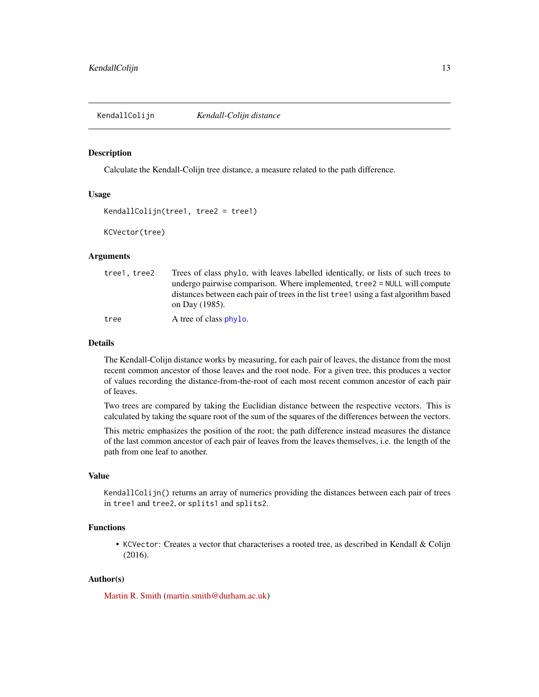<span id="page-12-1"></span><span id="page-12-0"></span>KendallColijn *Kendall-Colijn distance*

#### Description

Calculate the Kendall-Colijn tree distance, a measure related to the path difference.

# Usage

```
KendallColijn(tree1, tree2 = tree1)
```
KCVector(tree)

# Arguments

| tree1.tree2 | Trees of class phylo, with leaves labelled identically, or lists of such trees to                                                                                                   |
|-------------|-------------------------------------------------------------------------------------------------------------------------------------------------------------------------------------|
|             | undergo pairwise comparison. Where implemented, tree2 = NULL will compute<br>distances between each pair of trees in the list tree turning a fast algorithm based<br>on Day (1985). |
| tree        | A tree of class phylo.                                                                                                                                                              |

#### Details

The Kendall-Colijn distance works by measuring, for each pair of leaves, the distance from the most recent common ancestor of those leaves and the root node. For a given tree, this produces a vector of values recording the distance-from-the-root of each most recent common ancestor of each pair of leaves.

Two trees are compared by taking the Euclidian distance between the respective vectors. This is calculated by taking the square root of the sum of the squares of the differences between the vectors.

This metric emphasizes the position of the root; the path difference instead measures the distance of the last common ancestor of each pair of leaves from the leaves themselves, i.e. the length of the path from one leaf to another.

#### Value

KendallColijn() returns an array of numerics providing the distances between each pair of trees in tree1 and tree2, or splits1 and splits2.

# Functions

• KCVector: Creates a vector that characterises a rooted tree, as described in Kendall & Colijn (2016).

# Author(s)

[Martin R. Smith](https://orcid.org/0000-0001-5660-1727) [\(martin.smith@durham.ac.uk\)](mailto:martin.smith@durham.ac.uk)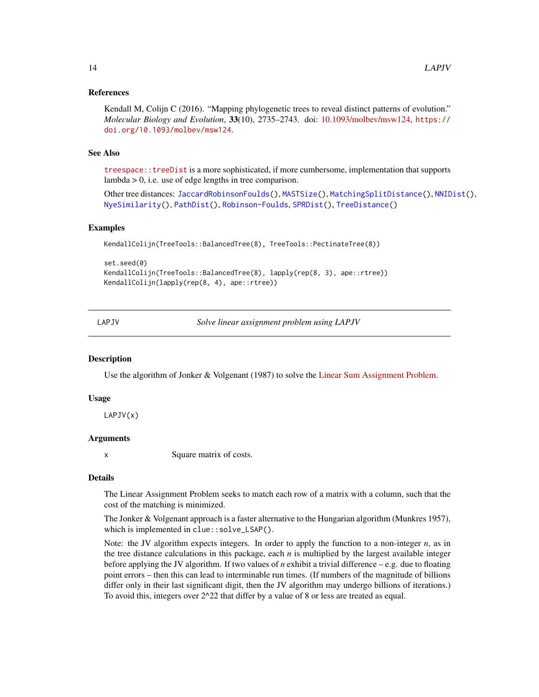#### <span id="page-13-0"></span>References

Kendall M, Colijn C (2016). "Mapping phylogenetic trees to reveal distinct patterns of evolution." *Molecular Biology and Evolution*, 33(10), 2735–2743. doi: [10.1093/molbev/msw124,](https://doi.org/10.1093/molbev/msw124) [https://](https://doi.org/10.1093/molbev/msw124) [doi.org/10.1093/molbev/msw124](https://doi.org/10.1093/molbev/msw124).

#### See Also

[treespace::treeDist](https://CRAN.R-project.org/package=treespace/vignettes/introduction.html) is a more sophisticated, if more cumbersome, implementation that supports lambda > 0, i.e. use of edge lengths in tree comparison.

Other tree distances: [JaccardRobinsonFoulds\(](#page-9-1)), [MASTSize\(](#page-14-1)), [MatchingSplitDistance\(](#page-16-1)), [NNIDist\(](#page-21-1)), [NyeSimilarity\(](#page-23-1)), [PathDist\(](#page-25-1)), [Robinson-Foulds](#page-30-1), [SPRDist\(](#page-38-1)), [TreeDistance\(](#page-39-1))

#### Examples

```
KendallColijn(TreeTools::BalancedTree(8), TreeTools::PectinateTree(8))
```

```
set.seed(0)
KendallColijn(TreeTools::BalancedTree(8), lapply(rep(8, 3), ape::rtree))
KendallColijn(lapply(rep(8, 4), ape::rtree))
```
LAPJV *Solve linear assignment problem using LAPJV*

#### **Description**

Use the algorithm of Jonker & Volgenant (1987) to solve the [Linear Sum Assignment Problem.](http://www.assignmentproblems.com/doc/LSAPIntroduction.pdf)

#### Usage

LAPJV(x)

#### Arguments

x Square matrix of costs.

#### Details

The Linear Assignment Problem seeks to match each row of a matrix with a column, such that the cost of the matching is minimized.

The Jonker & Volgenant approach is a faster alternative to the Hungarian algorithm (Munkres 1957), which is implemented in clue::solve\_LSAP().

Note: the JV algorithm expects integers. In order to apply the function to a non-integer *n*, as in the tree distance calculations in this package, each *n* is multiplied by the largest available integer before applying the JV algorithm. If two values of *n* exhibit a trivial difference – e.g. due to floating point errors – then this can lead to interminable run times. (If numbers of the magnitude of billions differ only in their last significant digit, then the JV algorithm may undergo billions of iterations.) To avoid this, integers over 2^22 that differ by a value of 8 or less are treated as equal.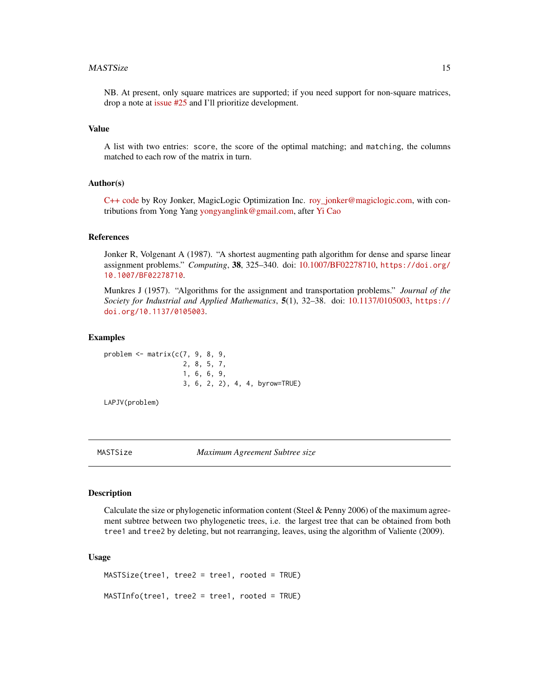#### <span id="page-14-0"></span> $MASTSize$  15

NB. At present, only square matrices are supported; if you need support for non-square matrices, drop a note at [issue #25](https://github.com/ms609/TreeDist/issues/25) and I'll prioritize development.

#### Value

A list with two entries: score, the score of the optimal matching; and matching, the columns matched to each row of the matrix in turn.

#### Author(s)

[C++ code](https://github.com/yongyanghz/LAPJV-algorithm-c/blob/master/LAPJV/lap.cpp) by Roy Jonker, MagicLogic Optimization Inc. [roy\\_jonker@magiclogic.com,](mailto:roy_jonker@magiclogic.com) with contributions from Yong Yang [yongyanglink@gmail.com,](mailto:yongyanglink@gmail.com) after [Yi Cao](https://uk.mathworks.com/matlabcentral/profile/authors/69713-yi-cao)

#### References

Jonker R, Volgenant A (1987). "A shortest augmenting path algorithm for dense and sparse linear assignment problems." *Computing*, 38, 325–340. doi: [10.1007/BF02278710,](https://doi.org/10.1007/BF02278710) [https://doi.org/](https://doi.org/10.1007/BF02278710) [10.1007/BF02278710](https://doi.org/10.1007/BF02278710).

Munkres J (1957). "Algorithms for the assignment and transportation problems." *Journal of the Society for Industrial and Applied Mathematics*, 5(1), 32–38. doi: [10.1137/0105003,](https://doi.org/10.1137/0105003) [https://](https://doi.org/10.1137/0105003) [doi.org/10.1137/0105003](https://doi.org/10.1137/0105003).

#### Examples

problem  $\leq$  matrix( $c(7, 9, 8, 9,$ 2, 8, 5, 7, 1, 6, 6, 9, 3, 6, 2, 2), 4, 4, byrow=TRUE)

LAPJV(problem)

<span id="page-14-1"></span>

MASTSize *Maximum Agreement Subtree size*

# **Description**

Calculate the size or phylogenetic information content (Steel & Penny 2006) of the maximum agreement subtree between two phylogenetic trees, i.e. the largest tree that can be obtained from both tree1 and tree2 by deleting, but not rearranging, leaves, using the algorithm of Valiente (2009).

#### Usage

```
MASTSize(tree1, tree2 = tree1, rooted = TRUE)
MASTInfo(tree1, tree2 = tree1, rooted = TRUE)
```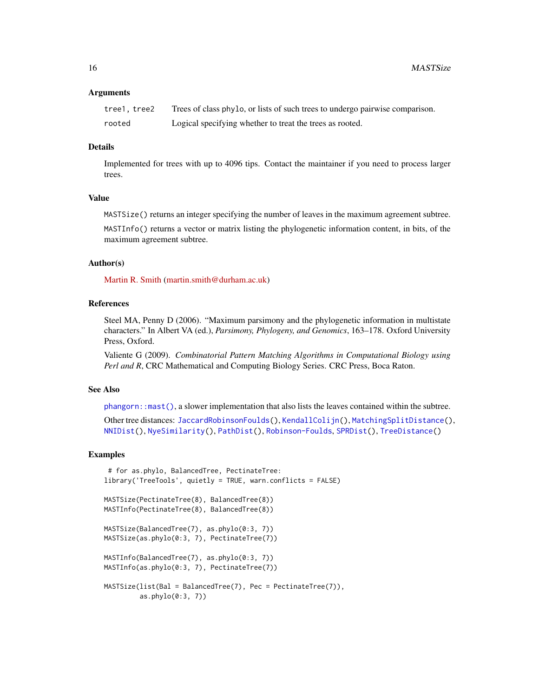<span id="page-15-0"></span>16 MASTSize

#### Arguments

| tree1, tree2 | Trees of class phylo, or lists of such trees to undergo pairwise comparison. |
|--------------|------------------------------------------------------------------------------|
| rooted       | Logical specifying whether to treat the trees as rooted.                     |

# Details

Implemented for trees with up to 4096 tips. Contact the maintainer if you need to process larger trees.

# Value

MASTSize() returns an integer specifying the number of leaves in the maximum agreement subtree.

MASTInfo() returns a vector or matrix listing the phylogenetic information content, in bits, of the maximum agreement subtree.

#### Author(s)

[Martin R. Smith](https://orcid.org/0000-0001-5660-1727) [\(martin.smith@durham.ac.uk\)](mailto:martin.smith@durham.ac.uk)

# References

Steel MA, Penny D (2006). "Maximum parsimony and the phylogenetic information in multistate characters." In Albert VA (ed.), *Parsimony, Phylogeny, and Genomics*, 163–178. Oxford University Press, Oxford.

Valiente G (2009). *Combinatorial Pattern Matching Algorithms in Computational Biology using Perl and R*, CRC Mathematical and Computing Biology Series. CRC Press, Boca Raton.

#### See Also

[phangorn::mast\(\)](#page-0-0), a slower implementation that also lists the leaves contained within the subtree.

Other tree distances: [JaccardRobinsonFoulds\(](#page-9-1)), [KendallColijn\(](#page-12-1)), [MatchingSplitDistance\(](#page-16-1)), [NNIDist\(](#page-21-1)), [NyeSimilarity\(](#page-23-1)), [PathDist\(](#page-25-1)), [Robinson-Foulds](#page-30-1), [SPRDist\(](#page-38-1)), [TreeDistance\(](#page-39-1))

### Examples

```
# for as.phylo, BalancedTree, PectinateTree:
library('TreeTools', quietly = TRUE, warn.conflicts = FALSE)
MASTSize(PectinateTree(8), BalancedTree(8))
MASTInfo(PectinateTree(8), BalancedTree(8))
MASTSize(BalancedTree(7), as.phylo(0:3, 7))
MASTSize(as.phylo(0:3, 7), PectinateTree(7))
MASTInfo(BalancedTree(7), as.phylo(0:3, 7))
MASTInfo(as.phylo(0:3, 7), PectinateTree(7))
MASTSize(list(Bal = BalancedTree(7), Pec = PectinateTree(7)),
        as.phylo(0:3, 7))
```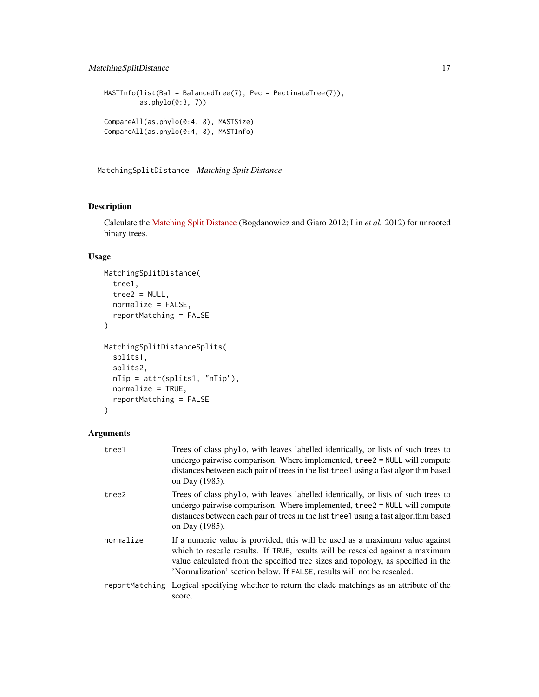# <span id="page-16-0"></span>MatchingSplitDistance 17

```
MASTInfo(list(Bal = BalancedTree(7), Pec = PectinateTree(7)),
         as.phylo(0:3, 7))
CompareAll(as.phylo(0:4, 8), MASTSize)
CompareAll(as.phylo(0:4, 8), MASTInfo)
```
<span id="page-16-1"></span>MatchingSplitDistance *Matching Split Distance*

#### Description

Calculate the [Matching Split Distance](https://ms609.github.io/TreeDist/articles/Generalized-RF.html#matching-split-distance) (Bogdanowicz and Giaro 2012; Lin *et al.* 2012) for unrooted binary trees.

# Usage

```
MatchingSplitDistance(
  tree1,
  tree2 = NULL,normalize = FALSE,
  reportMatching = FALSE
)
MatchingSplitDistanceSplits(
  splits1,
  splits2,
  nTip = attr(splits1, "nTip"),
 normalize = TRUE,
  reportMatching = FALSE
)
```
# Arguments

| tree1     | Trees of class phylo, with leaves labelled identically, or lists of such trees to<br>undergo pairwise comparison. Where implemented, tree2 = NULL will compute<br>distances between each pair of trees in the list tree1 using a fast algorithm based<br>on Day (1985).                                                     |
|-----------|-----------------------------------------------------------------------------------------------------------------------------------------------------------------------------------------------------------------------------------------------------------------------------------------------------------------------------|
| tree2     | Trees of class phylo, with leaves labelled identically, or lists of such trees to<br>undergo pairwise comparison. Where implemented, tree2 = NULL will compute<br>distances between each pair of trees in the list tree1 using a fast algorithm based<br>on Day (1985).                                                     |
| normalize | If a numeric value is provided, this will be used as a maximum value against<br>which to rescale results. If TRUE, results will be rescaled against a maximum<br>value calculated from the specified tree sizes and topology, as specified in the<br>'Normalization' section below. If FALSE, results will not be rescaled. |
|           | reportMatching Logical specifying whether to return the clade matchings as an attribute of the<br>score.                                                                                                                                                                                                                    |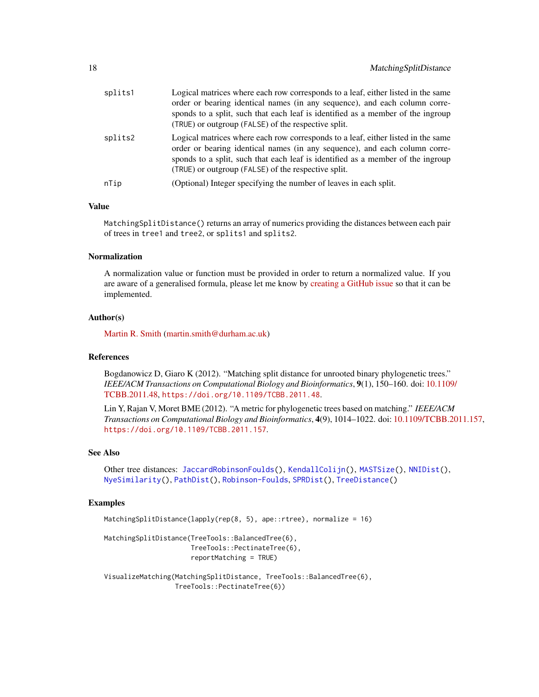<span id="page-17-0"></span>

| splits1 | Logical matrices where each row corresponds to a leaf, either listed in the same<br>order or bearing identical names (in any sequence), and each column corre-<br>sponds to a split, such that each leaf is identified as a member of the ingroup<br>(TRUE) or outgroup (FALSE) of the respective split. |
|---------|----------------------------------------------------------------------------------------------------------------------------------------------------------------------------------------------------------------------------------------------------------------------------------------------------------|
| splits2 | Logical matrices where each row corresponds to a leaf, either listed in the same<br>order or bearing identical names (in any sequence), and each column corre-<br>sponds to a split, such that each leaf is identified as a member of the ingroup<br>(TRUE) or outgroup (FALSE) of the respective split. |
| nTip    | (Optional) Integer specifying the number of leaves in each split.                                                                                                                                                                                                                                        |

# Value

MatchingSplitDistance() returns an array of numerics providing the distances between each pair of trees in tree1 and tree2, or splits1 and splits2.

# Normalization

A normalization value or function must be provided in order to return a normalized value. If you are aware of a generalised formula, please let me know by [creating a GitHub issue](https://github.com/ms609/TreeDist/issues/new) so that it can be implemented.

#### Author(s)

[Martin R. Smith](https://orcid.org/0000-0001-5660-1727) [\(martin.smith@durham.ac.uk\)](mailto:martin.smith@durham.ac.uk)

### References

Bogdanowicz D, Giaro K (2012). "Matching split distance for unrooted binary phylogenetic trees." *IEEE/ACM Transactions on Computational Biology and Bioinformatics*, 9(1), 150–160. doi: [10.1109](https://doi.org/10.1109/TCBB.2011.48)/ [TCBB.2011.48,](https://doi.org/10.1109/TCBB.2011.48) <https://doi.org/10.1109/TCBB.2011.48>.

Lin Y, Rajan V, Moret BME (2012). "A metric for phylogenetic trees based on matching." *IEEE/ACM Transactions on Computational Biology and Bioinformatics*, 4(9), 1014–1022. doi: [10.1109/TCBB.2011.157,](https://doi.org/10.1109/TCBB.2011.157) <https://doi.org/10.1109/TCBB.2011.157>.

#### See Also

Other tree distances: [JaccardRobinsonFoulds\(](#page-9-1)), [KendallColijn\(](#page-12-1)), [MASTSize\(](#page-14-1)), [NNIDist\(](#page-21-1)), [NyeSimilarity\(](#page-23-1)), [PathDist\(](#page-25-1)), [Robinson-Foulds](#page-30-1), [SPRDist\(](#page-38-1)), [TreeDistance\(](#page-39-1))

#### Examples

```
MatchingSplitDistance(lapply(rep(8, 5), ape::rtree), normalize = 16)
```
MatchingSplitDistance(TreeTools::BalancedTree(6), TreeTools::PectinateTree(6), reportMatching = TRUE)

```
VisualizeMatching(MatchingSplitDistance, TreeTools::BalancedTree(6),
                 TreeTools::PectinateTree(6))
```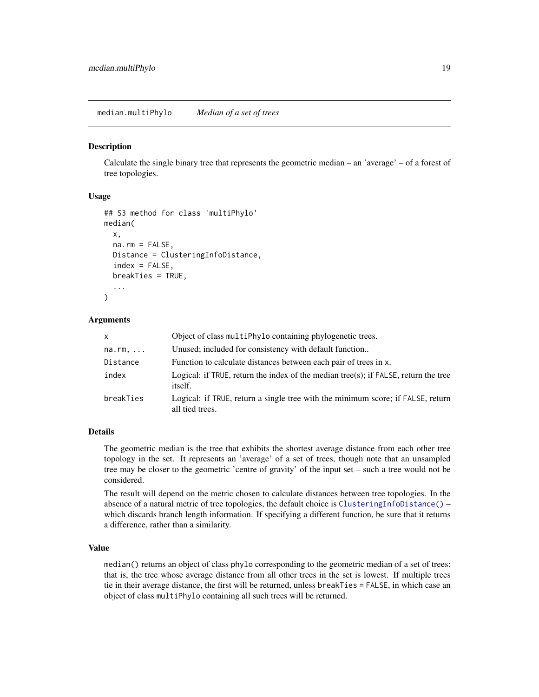<span id="page-18-1"></span><span id="page-18-0"></span>median.multiPhylo *Median of a set of trees*

#### **Description**

Calculate the single binary tree that represents the geometric median – an 'average' – of a forest of tree topologies.

#### Usage

```
## S3 method for class 'multiPhylo'
median(
  x,
  na.rm = FALSE,Distance = ClusteringInfoDistance,
  index = FALSE,
  breakTies = TRUE,
  ...
)
```
#### Arguments

| <b>X</b>  | Object of class multiphylo containing phylogenetic trees.                                                |
|-----------|----------------------------------------------------------------------------------------------------------|
| na.rm,    | Unused; included for consistency with default function                                                   |
| Distance  | Function to calculate distances between each pair of trees in x.                                         |
| index     | Logical: if TRUE, return the index of the median tree(s); if $FALSE$ , return the tree<br><i>itself.</i> |
| breakTies | Logical: if TRUE, return a single tree with the minimum score; if FALSE, return<br>all tied trees.       |

#### Details

The geometric median is the tree that exhibits the shortest average distance from each other tree topology in the set. It represents an 'average' of a set of trees, though note that an unsampled tree may be closer to the geometric 'centre of gravity' of the input set – such a tree would not be considered.

The result will depend on the metric chosen to calculate distances between tree topologies. In the absence of a natural metric of tree topologies, the default choice is [ClusteringInfoDistance\(\)](#page-39-2) – which discards branch length information. If specifying a different function, be sure that it returns a difference, rather than a similarity.

#### Value

median() returns an object of class phylo corresponding to the geometric median of a set of trees: that is, the tree whose average distance from all other trees in the set is lowest. If multiple trees tie in their average distance, the first will be returned, unless breakTies = FALSE, in which case an object of class multiPhylo containing all such trees will be returned.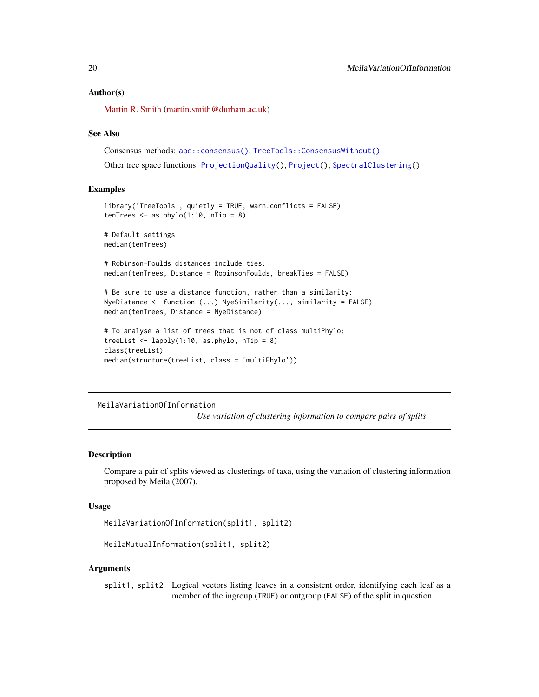#### <span id="page-19-0"></span>Author(s)

[Martin R. Smith](https://orcid.org/0000-0001-5660-1727) [\(martin.smith@durham.ac.uk\)](mailto:martin.smith@durham.ac.uk)

#### See Also

Consensus methods: [ape::consensus\(\)](#page-0-0), [TreeTools::ConsensusWithout\(\)](#page-0-0) Other tree space functions: [ProjectionQuality\(](#page-29-1)), [Project\(](#page-27-1)), [SpectralClustering\(](#page-33-1))

#### Examples

```
library('TreeTools', quietly = TRUE, warn.conflicts = FALSE)
tenTrees \leq as.phylo(1:10, nTip = 8)
# Default settings:
median(tenTrees)
# Robinson-Foulds distances include ties:
median(tenTrees, Distance = RobinsonFoulds, breakTies = FALSE)
# Be sure to use a distance function, rather than a similarity:
NyeDistance <- function (...) NyeSimilarity(..., similarity = FALSE)
median(tenTrees, Distance = NyeDistance)
# To analyse a list of trees that is not of class multiPhylo:
treeList \leq lapply(1:10, as.phylo, nTip = 8)
class(treeList)
median(structure(treeList, class = 'multiPhylo'))
```
MeilaVariationOfInformation

*Use variation of clustering information to compare pairs of splits*

#### **Description**

Compare a pair of splits viewed as clusterings of taxa, using the variation of clustering information proposed by Meila (2007).

#### Usage

MeilaVariationOfInformation(split1, split2)

```
MeilaMutualInformation(split1, split2)
```
#### Arguments

split1, split2 Logical vectors listing leaves in a consistent order, identifying each leaf as a member of the ingroup (TRUE) or outgroup (FALSE) of the split in question.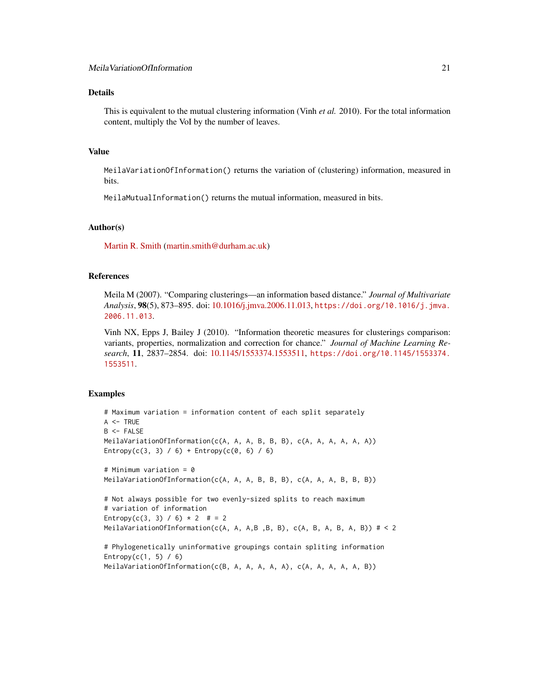# Details

This is equivalent to the mutual clustering information (Vinh *et al.* 2010). For the total information content, multiply the VoI by the number of leaves.

# Value

MeilaVariationOfInformation() returns the variation of (clustering) information, measured in bits.

MeilaMutualInformation() returns the mutual information, measured in bits.

#### Author(s)

[Martin R. Smith](https://orcid.org/0000-0001-5660-1727) [\(martin.smith@durham.ac.uk\)](mailto:martin.smith@durham.ac.uk)

#### References

Meila M (2007). "Comparing clusterings—an information based distance." *Journal of Multivariate Analysis*, 98(5), 873–895. doi: [10.1016/j.jmva.2006.11.013,](https://doi.org/10.1016/j.jmva.2006.11.013) [https://doi.org/10.1016/j.jmva.](https://doi.org/10.1016/j.jmva.2006.11.013) [2006.11.013](https://doi.org/10.1016/j.jmva.2006.11.013).

Vinh NX, Epps J, Bailey J (2010). "Information theoretic measures for clusterings comparison: variants, properties, normalization and correction for chance." *Journal of Machine Learning Research*, 11, 2837–2854. doi: [10.1145/1553374.1553511,](https://doi.org/10.1145/1553374.1553511) [https://doi.org/10.1145/1553374.](https://doi.org/10.1145/1553374.1553511) [1553511](https://doi.org/10.1145/1553374.1553511).

#### Examples

```
# Maximum variation = information content of each split separately
A < -TRUF
B \leq FALSEMeilaVariationOfInformation(c(A, A, A, B, B, B), c(A, A, A, A, A, A))
Entropy(c(3, 3) / 6) + Entropy(c(0, 6) / 6)
# Minimum variation = 0
MeilaVariationOfInformation(c(A, A, A, B, B, B), c(A, A, A, B, B, B))
# Not always possible for two evenly-sized splits to reach maximum
# variation of information
Entropy(c(3, 3) / 6) * 2 # = 2
MeilaVariationOfInformation(c(A, A, A, B, B), c(A, B, A, B, A, B)) # < 2
# Phylogenetically uninformative groupings contain spliting information
Entropy(c(1, 5) / 6)
```
MeilaVariationOfInformation(c(B, A, A, A, A, A), c(A, A, A, A, A, B))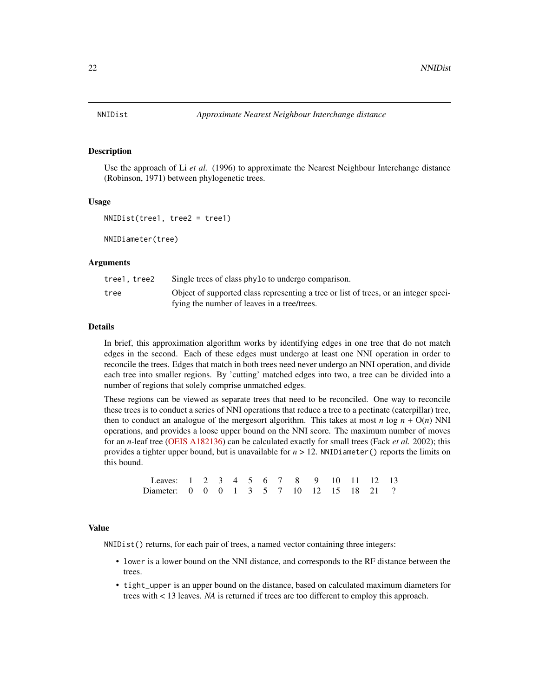#### <span id="page-21-1"></span><span id="page-21-0"></span>Description

Use the approach of Li *et al.* (1996) to approximate the Nearest Neighbour Interchange distance (Robinson, 1971) between phylogenetic trees.

#### Usage

```
NNIDist(tree1, tree2 = tree1)
```
NNIDiameter(tree)

#### **Arguments**

| tree1.tree2 | Single trees of class phylo to undergo comparison.                                   |
|-------------|--------------------------------------------------------------------------------------|
| tree        | Object of supported class representing a tree or list of trees, or an integer speci- |
|             | fying the number of leaves in a tree/trees.                                          |

# Details

In brief, this approximation algorithm works by identifying edges in one tree that do not match edges in the second. Each of these edges must undergo at least one NNI operation in order to reconcile the trees. Edges that match in both trees need never undergo an NNI operation, and divide each tree into smaller regions. By 'cutting' matched edges into two, a tree can be divided into a number of regions that solely comprise unmatched edges.

These regions can be viewed as separate trees that need to be reconciled. One way to reconcile these trees is to conduct a series of NNI operations that reduce a tree to a pectinate (caterpillar) tree, then to conduct an analogue of the mergesort algorithm. This takes at most *n* log  $n + O(n)$  NNI operations, and provides a loose upper bound on the NNI score. The maximum number of moves for an *n*-leaf tree [\(OEIS A182136\)](https://oeis.org/A182136) can be calculated exactly for small trees (Fack *et al.* 2002); this provides a tighter upper bound, but is unavailable for  $n > 12$ . NNIDiameter() reports the limits on this bound.

| Leaves: 1 2 3 4 5 6 7 8 9 10 11 12 13    |  |  |  |  |  |  |  |
|------------------------------------------|--|--|--|--|--|--|--|
| Diameter: 0 0 0 1 3 5 7 10 12 15 18 21 ? |  |  |  |  |  |  |  |

# Value

NNIDist() returns, for each pair of trees, a named vector containing three integers:

- lower is a lower bound on the NNI distance, and corresponds to the RF distance between the trees.
- tight\_upper is an upper bound on the distance, based on calculated maximum diameters for trees with < 13 leaves. *NA* is returned if trees are too different to employ this approach.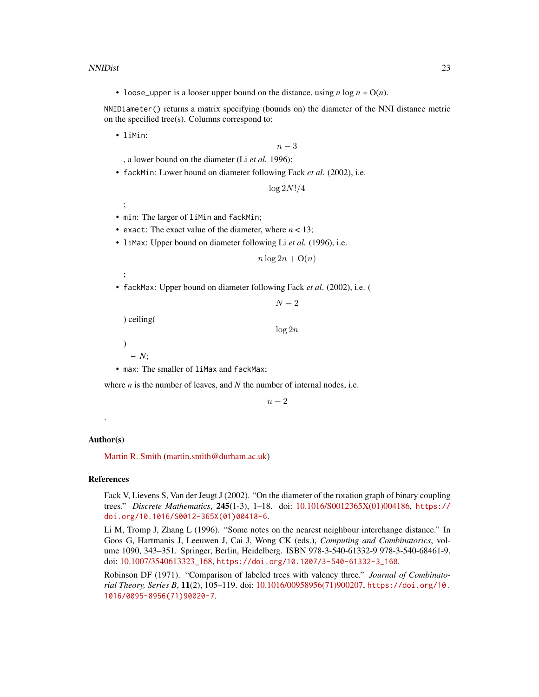#### NNIDist 23

• loose\_upper is a looser upper bound on the distance, using  $n \log n + O(n)$ .

NNIDiameter() returns a matrix specifying (bounds on) the diameter of the NNI distance metric on the specified tree(s). Columns correspond to:

• liMin:

 $n-3$ 

, a lower bound on the diameter (Li *et al.* 1996);

• fackMin: Lower bound on diameter following Fack *et al*. (2002), i.e.

 $\log 2N!/4$ 

;

- min: The larger of liMin and fackMin;
- exact: The exact value of the diameter, where  $n < 13$ ;
- liMax: Upper bound on diameter following Li *et al.* (1996), i.e.

 $n \log 2n + O(n)$ 

;

• fackMax: Upper bound on diameter following Fack *et al*. (2002), i.e. (

 $N-2$ 

) ceiling(

 $\log 2n$ 

)

– *N*;

• max: The smaller of liMax and fackMax;

where *n* is the number of leaves, and *N* the number of internal nodes, i.e.

 $n-2$ 

#### Author(s)

.

[Martin R. Smith](https://orcid.org/0000-0001-5660-1727) [\(martin.smith@durham.ac.uk\)](mailto:martin.smith@durham.ac.uk)

#### References

Fack V, Lievens S, Van der Jeugt J (2002). "On the diameter of the rotation graph of binary coupling trees." *Discrete Mathematics*, 245(1-3), 1–18. doi: [10.1016/S0012365X\(01\)004186,](https://doi.org/10.1016/S0012-365X(01)00418-6) [https://](https://doi.org/10.1016/S0012-365X(01)00418-6) [doi.org/10.1016/S0012-365X\(01\)00418-6](https://doi.org/10.1016/S0012-365X(01)00418-6).

Li M, Tromp J, Zhang L (1996). "Some notes on the nearest neighbour interchange distance." In Goos G, Hartmanis J, Leeuwen J, Cai J, Wong CK (eds.), *Computing and Combinatorics*, volume 1090, 343–351. Springer, Berlin, Heidelberg. ISBN 978-3-540-61332-9 978-3-540-68461-9, doi: [10.1007/3540613323\\_168,](https://doi.org/10.1007/3-540-61332-3_168) [https://doi.org/10.1007/3-540-61332-3\\_168](https://doi.org/10.1007/3-540-61332-3_168).

Robinson DF (1971). "Comparison of labeled trees with valency three." *Journal of Combinatorial Theory, Series B*, 11(2), 105–119. doi: [10.1016/00958956\(71\)900207,](https://doi.org/10.1016/0095-8956(71)90020-7) [https://doi.org/10.](https://doi.org/10.1016/0095-8956(71)90020-7) [1016/0095-8956\(71\)90020-7](https://doi.org/10.1016/0095-8956(71)90020-7).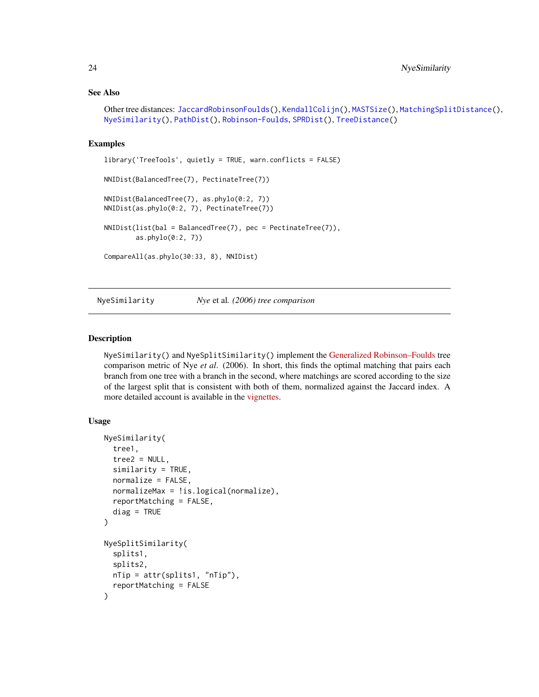#### <span id="page-23-0"></span>See Also

```
Other tree distances: JaccardRobinsonFoulds(), KendallColijn(), MASTSize(), MatchingSplitDistance(),
NyeSimilarity(), PathDist(), Robinson-Foulds, SPRDist(), TreeDistance()
```
#### Examples

```
library('TreeTools', quietly = TRUE, warn.conflicts = FALSE)
NNIDist(BalancedTree(7), PectinateTree(7))
NNIDist(BalancedTree(7), as.phylo(0:2, 7))
NNIDist(as.phylo(0:2, 7), PectinateTree(7))
NNIDist(list(bal = BalancedTree(7), pec = PectinateTree(7)),
       as.phylo(0:2, 7))
CompareAll(as.phylo(30:33, 8), NNIDist)
```
<span id="page-23-1"></span>NyeSimilarity *Nye* et al*. (2006) tree comparison*

#### Description

NyeSimilarity() and NyeSplitSimilarity() implement the [Generalized Robinson–Foulds](https://ms609.github.io/TreeDist/articles/Robinson-Foulds.html#generalized-robinson-foulds-distances) tree comparison metric of Nye *et al*. (2006). In short, this finds the optimal matching that pairs each branch from one tree with a branch in the second, where matchings are scored according to the size of the largest split that is consistent with both of them, normalized against the Jaccard index. A more detailed account is available in the [vignettes.](https://ms609.github.io/TreeDist/articles/Generalized-RF.html#nye-et-al--tree-similarity-metric)

### Usage

```
NyeSimilarity(
  tree1,
  tree2 = NULL,similarity = TRUE,
  normalize = FALSE,
  normalizeMax = !is.logical(normalize),
  reportMatching = FALSE,
  diag = TRUE)
NyeSplitSimilarity(
  splits1,
  splits2,
  nTip = attr(splits1, "nTip"),
  reportMatching = FALSE
)
```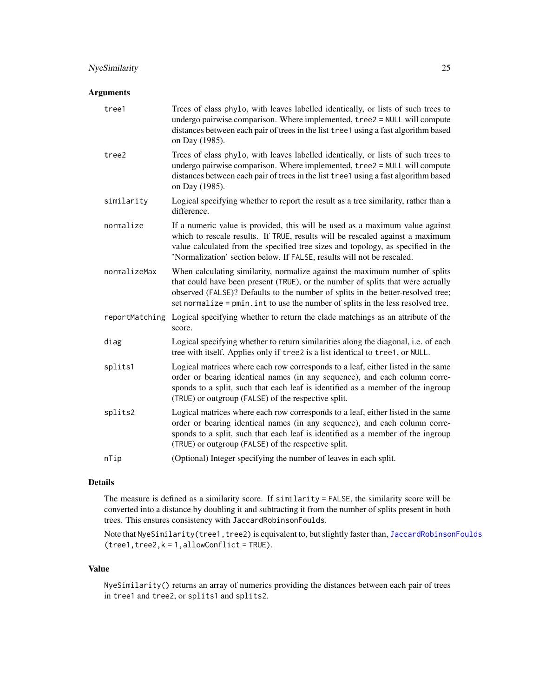# NyeSimilarity 25

# Arguments

| tree1        | Trees of class phylo, with leaves labelled identically, or lists of such trees to<br>undergo pairwise comparison. Where implemented, tree2 = NULL will compute<br>distances between each pair of trees in the list tree1 using a fast algorithm based<br>on Day (1985).                                                               |
|--------------|---------------------------------------------------------------------------------------------------------------------------------------------------------------------------------------------------------------------------------------------------------------------------------------------------------------------------------------|
| tree2        | Trees of class phylo, with leaves labelled identically, or lists of such trees to<br>undergo pairwise comparison. Where implemented, tree2 = NULL will compute<br>distances between each pair of trees in the list tree1 using a fast algorithm based<br>on Day (1985).                                                               |
| similarity   | Logical specifying whether to report the result as a tree similarity, rather than a<br>difference.                                                                                                                                                                                                                                    |
| normalize    | If a numeric value is provided, this will be used as a maximum value against<br>which to rescale results. If TRUE, results will be rescaled against a maximum<br>value calculated from the specified tree sizes and topology, as specified in the<br>'Normalization' section below. If FALSE, results will not be rescaled.           |
| normalizeMax | When calculating similarity, normalize against the maximum number of splits<br>that could have been present (TRUE), or the number of splits that were actually<br>observed (FALSE)? Defaults to the number of splits in the better-resolved tree;<br>set normalize = pmin. int to use the number of splits in the less resolved tree. |
|              | reportMatching Logical specifying whether to return the clade matchings as an attribute of the<br>score.                                                                                                                                                                                                                              |
| diag         | Logical specifying whether to return similarities along the diagonal, i.e. of each<br>tree with itself. Applies only if tree2 is a list identical to tree1, or NULL.                                                                                                                                                                  |
| splits1      | Logical matrices where each row corresponds to a leaf, either listed in the same<br>order or bearing identical names (in any sequence), and each column corre-<br>sponds to a split, such that each leaf is identified as a member of the ingroup<br>(TRUE) or outgroup (FALSE) of the respective split.                              |
| splits2      | Logical matrices where each row corresponds to a leaf, either listed in the same<br>order or bearing identical names (in any sequence), and each column corre-<br>sponds to a split, such that each leaf is identified as a member of the ingroup<br>(TRUE) or outgroup (FALSE) of the respective split.                              |
| nTip         | (Optional) Integer specifying the number of leaves in each split.                                                                                                                                                                                                                                                                     |

# Details

The measure is defined as a similarity score. If similarity = FALSE, the similarity score will be converted into a distance by doubling it and subtracting it from the number of splits present in both trees. This ensures consistency with JaccardRobinsonFoulds.

Note that NyeSimilarity(tree1, tree2) is equivalent to, but slightly faster than, [JaccardRobinsonFoulds](#page-9-1)  $(tree1, tree2, k = 1, allowConflict = TRUE).$ 

#### Value

NyeSimilarity() returns an array of numerics providing the distances between each pair of trees in tree1 and tree2, or splits1 and splits2.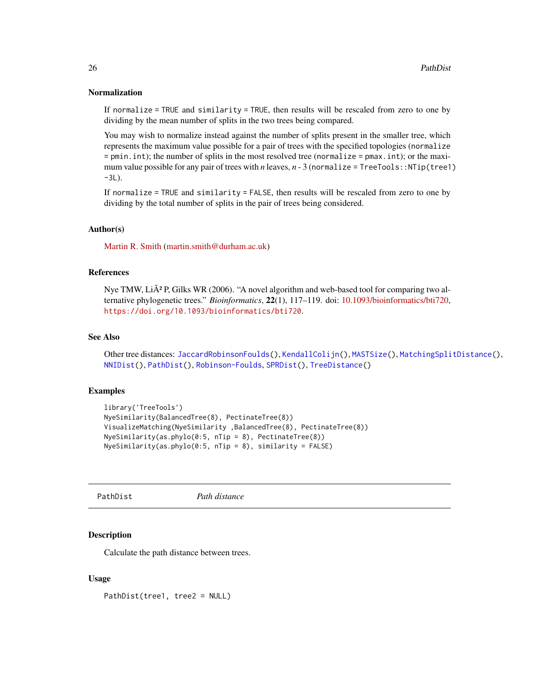# <span id="page-25-0"></span>Normalization

If normalize = TRUE and similarity = TRUE, then results will be rescaled from zero to one by dividing by the mean number of splits in the two trees being compared.

You may wish to normalize instead against the number of splits present in the smaller tree, which represents the maximum value possible for a pair of trees with the specified topologies (normalize = pmin.int); the number of splits in the most resolved tree (normalize = pmax.int); or the maximum value possible for any pair of trees with *n* leaves,  $n - 3$  (normalize = TreeTools::NTip(tree1)  $-3L$ ).

If normalize = TRUE and similarity = FALSE, then results will be rescaled from zero to one by dividing by the total number of splits in the pair of trees being considered.

#### Author(s)

[Martin R. Smith](https://orcid.org/0000-0001-5660-1727) [\(martin.smith@durham.ac.uk\)](mailto:martin.smith@durham.ac.uk)

#### References

Nye TMW,  $Li\tilde{A}^2$  P, Gilks WR (2006). "A novel algorithm and web-based tool for comparing two alternative phylogenetic trees." *Bioinformatics*, 22(1), 117–119. doi: [10.1093/bioinformatics/bti720,](https://doi.org/10.1093/bioinformatics/bti720) <https://doi.org/10.1093/bioinformatics/bti720>.

#### See Also

Other tree distances: [JaccardRobinsonFoulds\(](#page-9-1)), [KendallColijn\(](#page-12-1)), [MASTSize\(](#page-14-1)), [MatchingSplitDistance\(](#page-16-1)), [NNIDist\(](#page-21-1)), [PathDist\(](#page-25-1)), [Robinson-Foulds](#page-30-1), [SPRDist\(](#page-38-1)), [TreeDistance\(](#page-39-1))

# Examples

```
library('TreeTools')
NyeSimilarity(BalancedTree(8), PectinateTree(8))
VisualizeMatching(NyeSimilarity ,BalancedTree(8), PectinateTree(8))
NyeSimilarity(as.phylo(0:5, nTip = 8), PectinateTree(8))
NyeSimilarity(as.phplo(0:5, nTip = 8), similarity = FALSE)
```
<span id="page-25-1"></span>PathDist *Path distance*

#### Description

Calculate the path distance between trees.

#### Usage

PathDist(tree1, tree2 = NULL)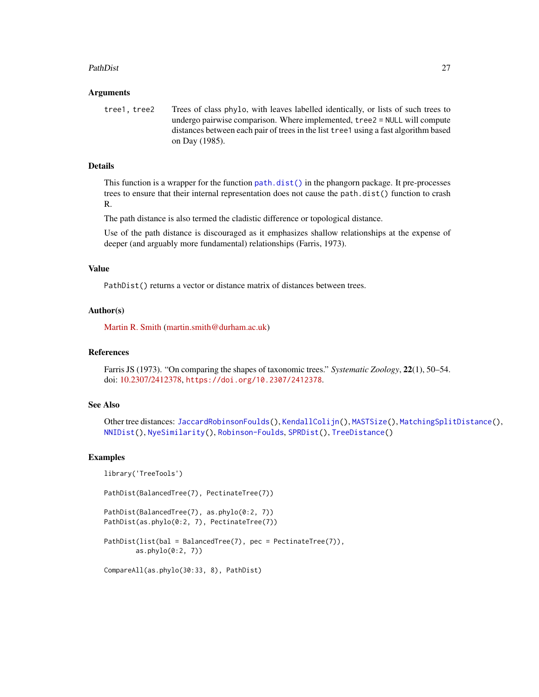#### <span id="page-26-0"></span>PathDist 27

#### Arguments

tree1, tree2 Trees of class phylo, with leaves labelled identically, or lists of such trees to undergo pairwise comparison. Where implemented, tree2 = NULL will compute distances between each pair of trees in the list tree1 using a fast algorithm based on Day (1985).

# Details

This function is a wrapper for the function [path.dist\(\)](#page-0-0) in the phangorn package. It pre-processes trees to ensure that their internal representation does not cause the path.dist() function to crash R.

The path distance is also termed the cladistic difference or topological distance.

Use of the path distance is discouraged as it emphasizes shallow relationships at the expense of deeper (and arguably more fundamental) relationships (Farris, 1973).

# Value

PathDist() returns a vector or distance matrix of distances between trees.

#### Author(s)

[Martin R. Smith](https://orcid.org/0000-0001-5660-1727) [\(martin.smith@durham.ac.uk\)](mailto:martin.smith@durham.ac.uk)

#### References

Farris JS (1973). "On comparing the shapes of taxonomic trees." *Systematic Zoology*, 22(1), 50–54. doi: [10.2307/2412378,](https://doi.org/10.2307/2412378) <https://doi.org/10.2307/2412378>.

#### See Also

Other tree distances: [JaccardRobinsonFoulds\(](#page-9-1)), [KendallColijn\(](#page-12-1)), [MASTSize\(](#page-14-1)), [MatchingSplitDistance\(](#page-16-1)), [NNIDist\(](#page-21-1)), [NyeSimilarity\(](#page-23-1)), [Robinson-Foulds](#page-30-1), [SPRDist\(](#page-38-1)), [TreeDistance\(](#page-39-1))

#### Examples

```
library('TreeTools')
```
PathDist(BalancedTree(7), PectinateTree(7))

PathDist(BalancedTree(7), as.phylo(0:2, 7)) PathDist(as.phylo(0:2, 7), PectinateTree(7))

PathDist(list(bal = BalancedTree(7), pec = PectinateTree(7)), as.phylo(0:2, 7))

CompareAll(as.phylo(30:33, 8), PathDist)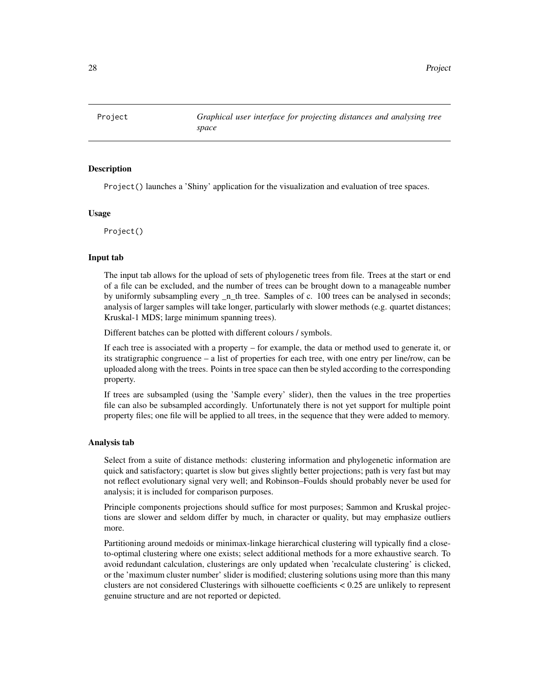<span id="page-27-1"></span><span id="page-27-0"></span>

#### Description

Project() launches a 'Shiny' application for the visualization and evaluation of tree spaces.

# Usage

Project()

#### Input tab

The input tab allows for the upload of sets of phylogenetic trees from file. Trees at the start or end of a file can be excluded, and the number of trees can be brought down to a manageable number by uniformly subsampling every  $n$  th tree. Samples of c. 100 trees can be analysed in seconds; analysis of larger samples will take longer, particularly with slower methods (e.g. quartet distances; Kruskal-1 MDS; large minimum spanning trees).

Different batches can be plotted with different colours / symbols.

If each tree is associated with a property – for example, the data or method used to generate it, or its stratigraphic congruence – a list of properties for each tree, with one entry per line/row, can be uploaded along with the trees. Points in tree space can then be styled according to the corresponding property.

If trees are subsampled (using the 'Sample every' slider), then the values in the tree properties file can also be subsampled accordingly. Unfortunately there is not yet support for multiple point property files; one file will be applied to all trees, in the sequence that they were added to memory.

#### Analysis tab

Select from a suite of distance methods: clustering information and phylogenetic information are quick and satisfactory; quartet is slow but gives slightly better projections; path is very fast but may not reflect evolutionary signal very well; and Robinson–Foulds should probably never be used for analysis; it is included for comparison purposes.

Principle components projections should suffice for most purposes; Sammon and Kruskal projections are slower and seldom differ by much, in character or quality, but may emphasize outliers more.

Partitioning around medoids or minimax-linkage hierarchical clustering will typically find a closeto-optimal clustering where one exists; select additional methods for a more exhaustive search. To avoid redundant calculation, clusterings are only updated when 'recalculate clustering' is clicked, or the 'maximum cluster number' slider is modified; clustering solutions using more than this many clusters are not considered Clusterings with silhouette coefficients < 0.25 are unlikely to represent genuine structure and are not reported or depicted.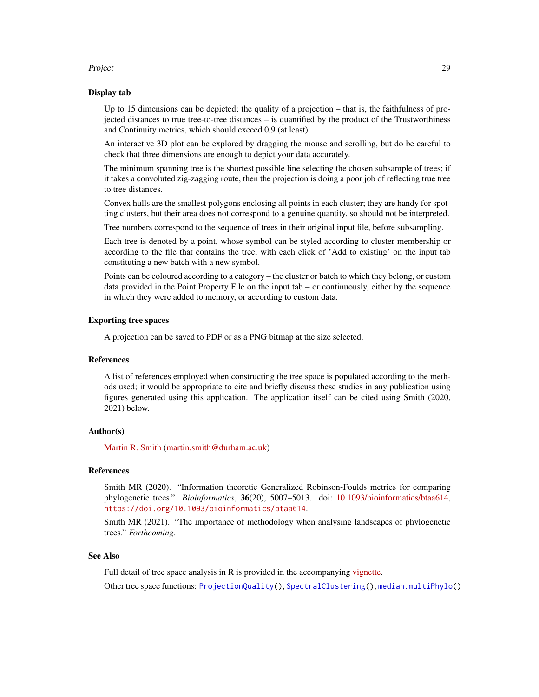#### <span id="page-28-0"></span>Project 29

### Display tab

Up to 15 dimensions can be depicted; the quality of a projection – that is, the faithfulness of projected distances to true tree-to-tree distances – is quantified by the product of the Trustworthiness and Continuity metrics, which should exceed 0.9 (at least).

An interactive 3D plot can be explored by dragging the mouse and scrolling, but do be careful to check that three dimensions are enough to depict your data accurately.

The minimum spanning tree is the shortest possible line selecting the chosen subsample of trees; if it takes a convoluted zig-zagging route, then the projection is doing a poor job of reflecting true tree to tree distances.

Convex hulls are the smallest polygons enclosing all points in each cluster; they are handy for spotting clusters, but their area does not correspond to a genuine quantity, so should not be interpreted.

Tree numbers correspond to the sequence of trees in their original input file, before subsampling.

Each tree is denoted by a point, whose symbol can be styled according to cluster membership or according to the file that contains the tree, with each click of 'Add to existing' on the input tab constituting a new batch with a new symbol.

Points can be coloured according to a category – the cluster or batch to which they belong, or custom data provided in the Point Property File on the input tab – or continuously, either by the sequence in which they were added to memory, or according to custom data.

# Exporting tree spaces

A projection can be saved to PDF or as a PNG bitmap at the size selected.

#### References

A list of references employed when constructing the tree space is populated according to the methods used; it would be appropriate to cite and briefly discuss these studies in any publication using figures generated using this application. The application itself can be cited using Smith (2020, 2021) below.

#### Author(s)

[Martin R. Smith](https://orcid.org/0000-0001-5660-1727) [\(martin.smith@durham.ac.uk\)](mailto:martin.smith@durham.ac.uk)

#### References

Smith MR (2020). "Information theoretic Generalized Robinson-Foulds metrics for comparing phylogenetic trees." *Bioinformatics*, 36(20), 5007–5013. doi: [10.1093/bioinformatics/btaa614,](https://doi.org/10.1093/bioinformatics/btaa614) <https://doi.org/10.1093/bioinformatics/btaa614>.

Smith MR (2021). "The importance of methodology when analysing landscapes of phylogenetic trees." *Forthcoming*.

#### See Also

Full detail of tree space analysis in R is provided in the accompanying [vignette.](https://ms609.github.io/TreeDist/articles/treespace.html)

Other tree space functions: [ProjectionQuality\(](#page-29-1)), [SpectralClustering\(](#page-33-1)), [median.multiPhylo\(](#page-18-1))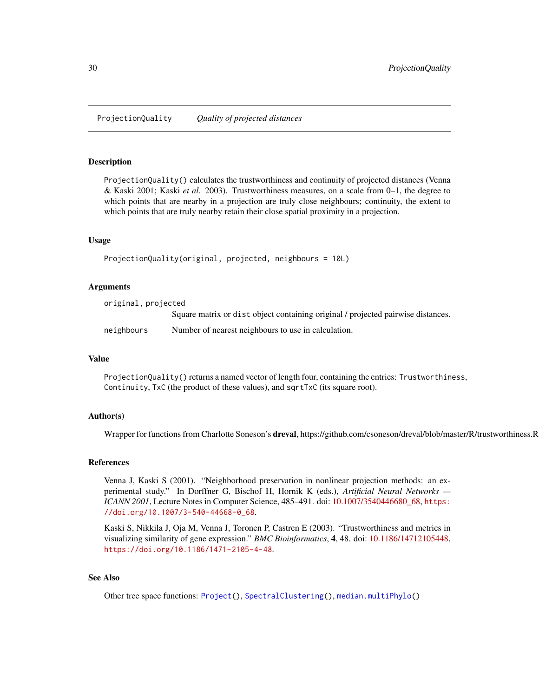<span id="page-29-1"></span><span id="page-29-0"></span>ProjectionQuality *Quality of projected distances*

#### Description

ProjectionQuality() calculates the trustworthiness and continuity of projected distances (Venna & Kaski 2001; Kaski *et al.* 2003). Trustworthiness measures, on a scale from 0–1, the degree to which points that are nearby in a projection are truly close neighbours; continuity, the extent to which points that are truly nearby retain their close spatial proximity in a projection.

#### Usage

```
ProjectionQuality(original, projected, neighbours = 10L)
```
#### Arguments

original, projected Square matrix or dist object containing original / projected pairwise distances. neighbours Number of nearest neighbours to use in calculation.

# Value

ProjectionQuality() returns a named vector of length four, containing the entries: Trustworthiness, Continuity, TxC (the product of these values), and sqrtTxC (its square root).

# Author(s)

Wrapper for functions from Charlotte Soneson's **dreval**, https://github.com/csoneson/dreval/blob/master/R/trustworthiness.R

#### References

Venna J, Kaski S (2001). "Neighborhood preservation in nonlinear projection methods: an experimental study." In Dorffner G, Bischof H, Hornik K (eds.), *Artificial Neural Networks — ICANN 2001*, Lecture Notes in Computer Science, 485–491. doi: [10.1007/3540446680\\_68,](https://doi.org/10.1007/3-540-44668-0_68) [https:](https://doi.org/10.1007/3-540-44668-0_68) [//doi.org/10.1007/3-540-44668-0\\_68](https://doi.org/10.1007/3-540-44668-0_68).

Kaski S, Nikkila J, Oja M, Venna J, Toronen P, Castren E (2003). "Trustworthiness and metrics in visualizing similarity of gene expression." *BMC Bioinformatics*, 4, 48. doi: [10.1186/14712105448,](https://doi.org/10.1186/1471-2105-4-48) <https://doi.org/10.1186/1471-2105-4-48>.

#### See Also

Other tree space functions: [Project\(](#page-27-1)), [SpectralClustering\(](#page-33-1)), [median.multiPhylo\(](#page-18-1))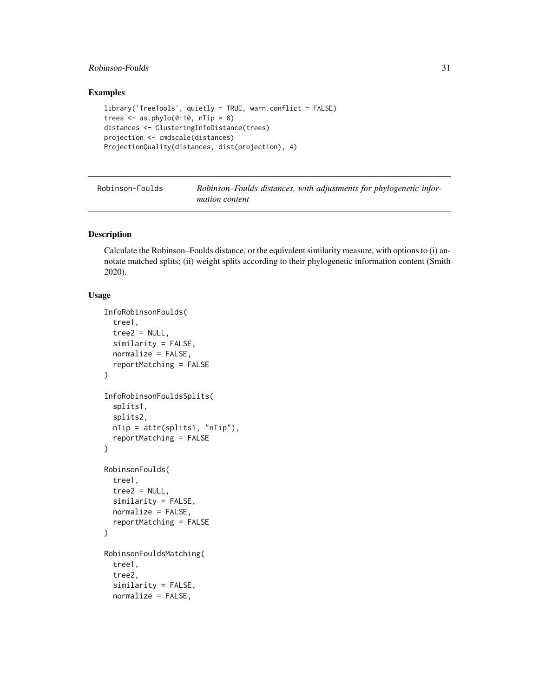# <span id="page-30-0"></span>Robinson-Foulds 31

# Examples

```
library('TreeTools', quietly = TRUE, warn.conflict = FALSE)
trees \leq as.phylo(0:10, nTip = 8)
distances <- ClusteringInfoDistance(trees)
projection <- cmdscale(distances)
ProjectionQuality(distances, dist(projection), 4)
```
<span id="page-30-1"></span>

| Robinson-Foulds | Robinson–Foulds distances, with adjustments for phylogenetic infor- |  |
|-----------------|---------------------------------------------------------------------|--|
|                 | <i>mation content</i>                                               |  |

#### Description

Calculate the Robinson–Foulds distance, or the equivalent similarity measure, with options to (i) annotate matched splits; (ii) weight splits according to their phylogenetic information content (Smith 2020).

# Usage

```
InfoRobinsonFoulds(
  tree1,
  tree2 = NULL,similarity = FALSE,
  normalize = FALSE,
  reportMatching = FALSE
)
InfoRobinsonFouldsSplits(
  splits1,
  splits2,
  nTip = attr(splits1, "nTip"),
  reportMatching = FALSE
\lambdaRobinsonFoulds(
  tree1,
  tree2 = NULL,similarity = FALSE,
  normalize = FALSE,
  reportMatching = FALSE
\mathcal{L}RobinsonFouldsMatching(
  tree1,
  tree2,
  similarity = FALSE,
  normalize = FALSE,
```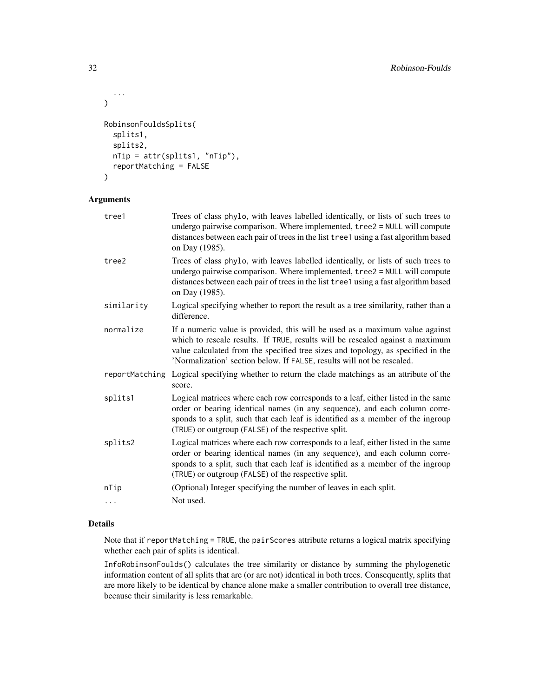```
...
)
RobinsonFouldsSplits(
  splits1,
  splits2,
  nTip = attr(splits1, "nTip"),
  reportMatching = FALSE
)
```
# Arguments

| tree1          | Trees of class phylo, with leaves labelled identically, or lists of such trees to<br>undergo pairwise comparison. Where implemented, tree2 = NULL will compute<br>distances between each pair of trees in the list tree1 using a fast algorithm based<br>on Day (1985).                                                     |
|----------------|-----------------------------------------------------------------------------------------------------------------------------------------------------------------------------------------------------------------------------------------------------------------------------------------------------------------------------|
| tree2          | Trees of class phylo, with leaves labelled identically, or lists of such trees to<br>undergo pairwise comparison. Where implemented, tree2 = NULL will compute<br>distances between each pair of trees in the list tree1 using a fast algorithm based<br>on Day (1985).                                                     |
| similarity     | Logical specifying whether to report the result as a tree similarity, rather than a<br>difference.                                                                                                                                                                                                                          |
| normalize      | If a numeric value is provided, this will be used as a maximum value against<br>which to rescale results. If TRUE, results will be rescaled against a maximum<br>value calculated from the specified tree sizes and topology, as specified in the<br>'Normalization' section below. If FALSE, results will not be rescaled. |
| reportMatching | Logical specifying whether to return the clade matchings as an attribute of the<br>score.                                                                                                                                                                                                                                   |
| splits1        | Logical matrices where each row corresponds to a leaf, either listed in the same<br>order or bearing identical names (in any sequence), and each column corre-<br>sponds to a split, such that each leaf is identified as a member of the ingroup<br>(TRUE) or outgroup (FALSE) of the respective split.                    |
| splits2        | Logical matrices where each row corresponds to a leaf, either listed in the same<br>order or bearing identical names (in any sequence), and each column corre-<br>sponds to a split, such that each leaf is identified as a member of the ingroup<br>(TRUE) or outgroup (FALSE) of the respective split.                    |
| nTip           | (Optional) Integer specifying the number of leaves in each split.                                                                                                                                                                                                                                                           |
| $\ddots$       | Not used.                                                                                                                                                                                                                                                                                                                   |
|                |                                                                                                                                                                                                                                                                                                                             |

# Details

Note that if reportMatching = TRUE, the pairScores attribute returns a logical matrix specifying whether each pair of splits is identical.

InfoRobinsonFoulds() calculates the tree similarity or distance by summing the phylogenetic information content of all splits that are (or are not) identical in both trees. Consequently, splits that are more likely to be identical by chance alone make a smaller contribution to overall tree distance, because their similarity is less remarkable.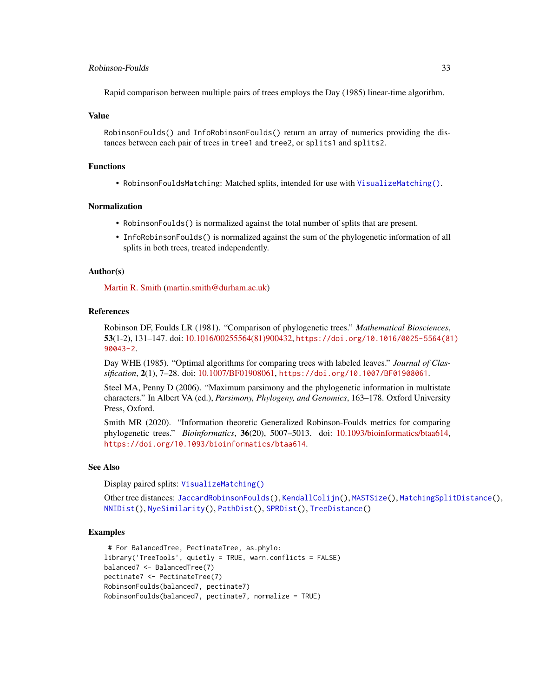#### <span id="page-32-0"></span>Robinson-Foulds 33

Rapid comparison between multiple pairs of trees employs the Day (1985) linear-time algorithm.

#### Value

RobinsonFoulds() and InfoRobinsonFoulds() return an array of numerics providing the distances between each pair of trees in tree1 and tree2, or splits1 and splits2.

#### Functions

• RobinsonFouldsMatching: Matched splits, intended for use with [VisualizeMatching\(\)](#page-44-1).

#### Normalization

- RobinsonFoulds() is normalized against the total number of splits that are present.
- InfoRobinsonFoulds() is normalized against the sum of the phylogenetic information of all splits in both trees, treated independently.

#### Author(s)

[Martin R. Smith](https://orcid.org/0000-0001-5660-1727) [\(martin.smith@durham.ac.uk\)](mailto:martin.smith@durham.ac.uk)

#### References

Robinson DF, Foulds LR (1981). "Comparison of phylogenetic trees." *Mathematical Biosciences*, 53(1-2), 131–147. doi: [10.1016/00255564\(81\)900432,](https://doi.org/10.1016/0025-5564(81)90043-2) [https://doi.org/10.1016/0025-5564\(81](https://doi.org/10.1016/0025-5564(81)90043-2)) [90043-2](https://doi.org/10.1016/0025-5564(81)90043-2).

Day WHE (1985). "Optimal algorithms for comparing trees with labeled leaves." *Journal of Classification*, 2(1), 7–28. doi: [10.1007/BF01908061,](https://doi.org/10.1007/BF01908061) <https://doi.org/10.1007/BF01908061>.

Steel MA, Penny D (2006). "Maximum parsimony and the phylogenetic information in multistate characters." In Albert VA (ed.), *Parsimony, Phylogeny, and Genomics*, 163–178. Oxford University Press, Oxford.

Smith MR (2020). "Information theoretic Generalized Robinson-Foulds metrics for comparing phylogenetic trees." *Bioinformatics*, 36(20), 5007–5013. doi: [10.1093/bioinformatics/btaa614,](https://doi.org/10.1093/bioinformatics/btaa614) <https://doi.org/10.1093/bioinformatics/btaa614>.

#### See Also

Display paired splits: [VisualizeMatching\(\)](#page-44-1)

Other tree distances: [JaccardRobinsonFoulds\(](#page-9-1)), [KendallColijn\(](#page-12-1)), [MASTSize\(](#page-14-1)), [MatchingSplitDistance\(](#page-16-1)), [NNIDist\(](#page-21-1)), [NyeSimilarity\(](#page-23-1)), [PathDist\(](#page-25-1)), [SPRDist\(](#page-38-1)), [TreeDistance\(](#page-39-1))

#### Examples

```
# For BalancedTree, PectinateTree, as.phylo:
library('TreeTools', quietly = TRUE, warn.conflicts = FALSE)
balanced7 <- BalancedTree(7)
pectinate7 <- PectinateTree(7)
RobinsonFoulds(balanced7, pectinate7)
RobinsonFoulds(balanced7, pectinate7, normalize = TRUE)
```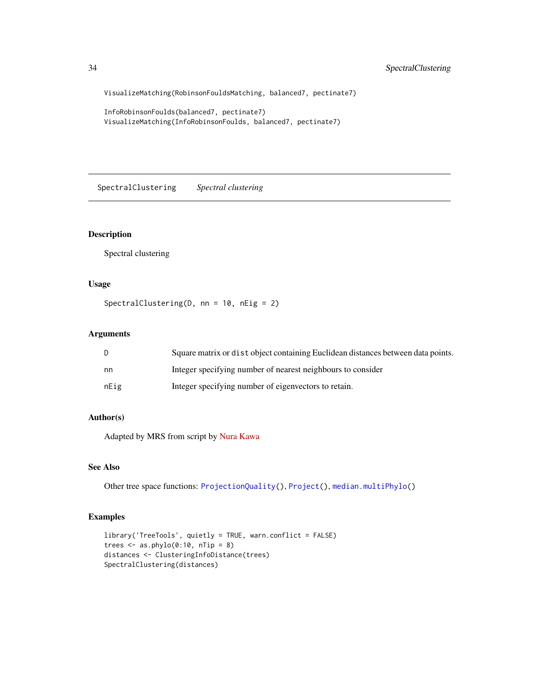VisualizeMatching(RobinsonFouldsMatching, balanced7, pectinate7)

```
InfoRobinsonFoulds(balanced7, pectinate7)
VisualizeMatching(InfoRobinsonFoulds, balanced7, pectinate7)
```
<span id="page-33-1"></span>SpectralClustering *Spectral clustering*

# Description

Spectral clustering

# Usage

```
SpectralClustering(D, nn = 10, nEig = 2)
```
# Arguments

|      | Square matrix or dist object containing Euclidean distances between data points. |
|------|----------------------------------------------------------------------------------|
| nn   | Integer specifying number of nearest neighbours to consider                      |
| nEig | Integer specifying number of eigenvectors to retain.                             |

# Author(s)

Adapted by MRS from script by [Nura Kawa](https://rpubs.com/nurakawa/spectral-clustering)

## See Also

Other tree space functions: [ProjectionQuality\(](#page-29-1)), [Project\(](#page-27-1)), [median.multiPhylo\(](#page-18-1))

# Examples

```
library('TreeTools', quietly = TRUE, warn.conflict = FALSE)
trees \leq as.phylo(0:10, nTip = 8)
distances <- ClusteringInfoDistance(trees)
SpectralClustering(distances)
```
<span id="page-33-0"></span>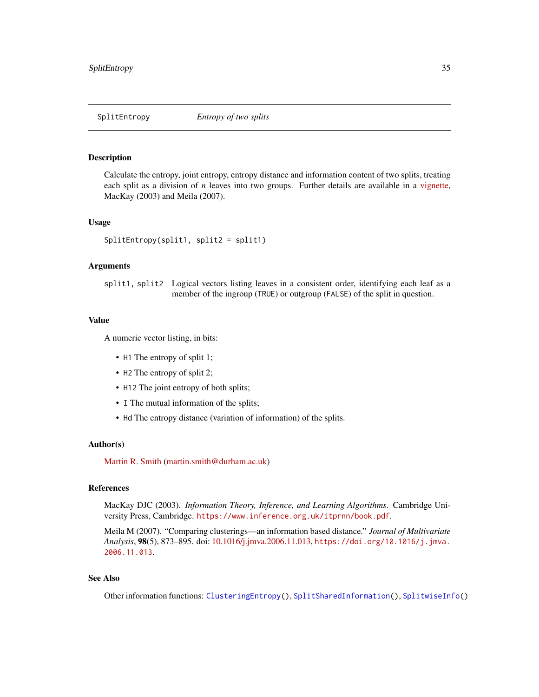<span id="page-34-1"></span><span id="page-34-0"></span>

#### Description

Calculate the entropy, joint entropy, entropy distance and information content of two splits, treating each split as a division of *n* leaves into two groups. Further details are available in a [vignette,](https://ms609.github.io/TreeDist/articles/information.html) MacKay (2003) and Meila (2007).

#### Usage

SplitEntropy(split1, split2 = split1)

# Arguments

split1, split2 Logical vectors listing leaves in a consistent order, identifying each leaf as a member of the ingroup (TRUE) or outgroup (FALSE) of the split in question.

#### Value

A numeric vector listing, in bits:

- H1 The entropy of split 1;
- H2 The entropy of split 2;
- H12 The joint entropy of both splits;
- I The mutual information of the splits;
- Hd The entropy distance (variation of information) of the splits.

#### Author(s)

[Martin R. Smith](https://orcid.org/0000-0001-5660-1727) [\(martin.smith@durham.ac.uk\)](mailto:martin.smith@durham.ac.uk)

### References

MacKay DJC (2003). *Information Theory, Inference, and Learning Algorithms*. Cambridge University Press, Cambridge. <https://www.inference.org.uk/itprnn/book.pdf>.

Meila M (2007). "Comparing clusterings—an information based distance." *Journal of Multivariate Analysis*, 98(5), 873–895. doi: [10.1016/j.jmva.2006.11.013,](https://doi.org/10.1016/j.jmva.2006.11.013) [https://doi.org/10.1016/j.jmva.](https://doi.org/10.1016/j.jmva.2006.11.013) [2006.11.013](https://doi.org/10.1016/j.jmva.2006.11.013).

# See Also

Other information functions: [ClusteringEntropy\(](#page-3-2)), [SplitSharedInformation\(](#page-36-1)), [SplitwiseInfo\(](#page-37-1))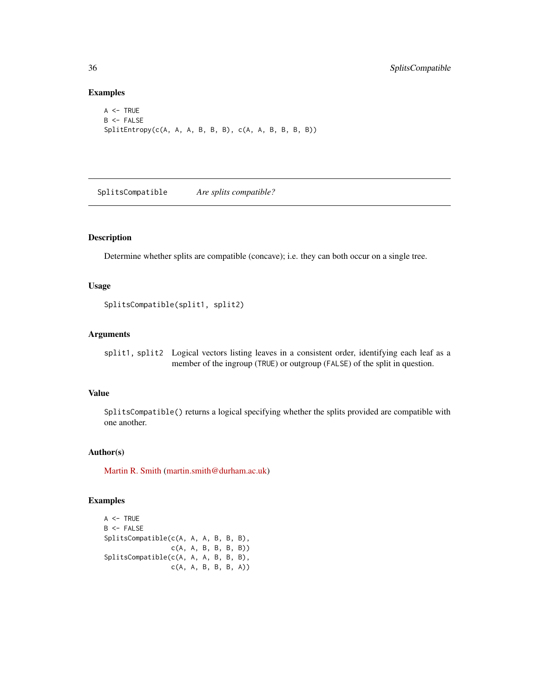# Examples

```
A \leq TRUEB <- FALSE
SplitEntropy(c(A, A, A, B, B, B), c(A, A, B, B, B, B))
```
SplitsCompatible *Are splits compatible?*

# Description

Determine whether splits are compatible (concave); i.e. they can both occur on a single tree.

# Usage

SplitsCompatible(split1, split2)

# Arguments

split1, split2 Logical vectors listing leaves in a consistent order, identifying each leaf as a member of the ingroup (TRUE) or outgroup (FALSE) of the split in question.

# Value

SplitsCompatible() returns a logical specifying whether the splits provided are compatible with one another.

#### Author(s)

[Martin R. Smith](https://orcid.org/0000-0001-5660-1727) [\(martin.smith@durham.ac.uk\)](mailto:martin.smith@durham.ac.uk)

# Examples

```
A \leq TRUEB \leq FALSESplitsCompatible(c(A, A, A, B, B, B),
                 c(A, A, B, B, B, B))
SplitsCompatible(c(A, A, A, B, B, B),
                 c(A, A, B, B, B, A))
```
<span id="page-35-0"></span>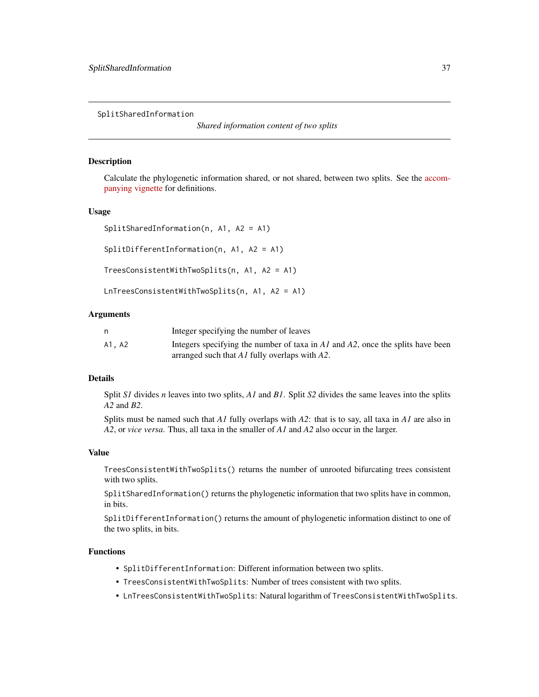<span id="page-36-1"></span><span id="page-36-0"></span>SplitSharedInformation

*Shared information content of two splits*

#### Description

Calculate the phylogenetic information shared, or not shared, between two splits. See the [accom](https://ms609.github.io/TreeDist/articles/information.html)[panying vignette](https://ms609.github.io/TreeDist/articles/information.html) for definitions.

#### Usage

```
SplitSharedInformation(n, A1, A2 = A1)
```
SplitDifferentInformation(n, A1, A2 = A1)

```
TreesConsistentWithTwoSplits(n, A1, A2 = A1)
```
LnTreesConsistentWithTwoSplits(n, A1, A2 = A1)

#### Arguments

|       | Integer specifying the number of leaves                                        |
|-------|--------------------------------------------------------------------------------|
| A1.A2 | Integers specifying the number of taxa in A1 and A2, once the splits have been |
|       | arranged such that $AI$ fully overlaps with $A2$ .                             |

### Details

Split *S1* divides *n* leaves into two splits, *A1* and *B1*. Split *S2* divides the same leaves into the splits *A2* and *B2*.

Splits must be named such that *A1* fully overlaps with *A2*: that is to say, all taxa in *A1* are also in *A2*, or *vice versa*. Thus, all taxa in the smaller of *A1* and *A2* also occur in the larger.

#### Value

TreesConsistentWithTwoSplits() returns the number of unrooted bifurcating trees consistent with two splits.

SplitSharedInformation() returns the phylogenetic information that two splits have in common, in bits.

SplitDifferentInformation() returns the amount of phylogenetic information distinct to one of the two splits, in bits.

#### Functions

- SplitDifferentInformation: Different information between two splits.
- TreesConsistentWithTwoSplits: Number of trees consistent with two splits.
- LnTreesConsistentWithTwoSplits: Natural logarithm of TreesConsistentWithTwoSplits.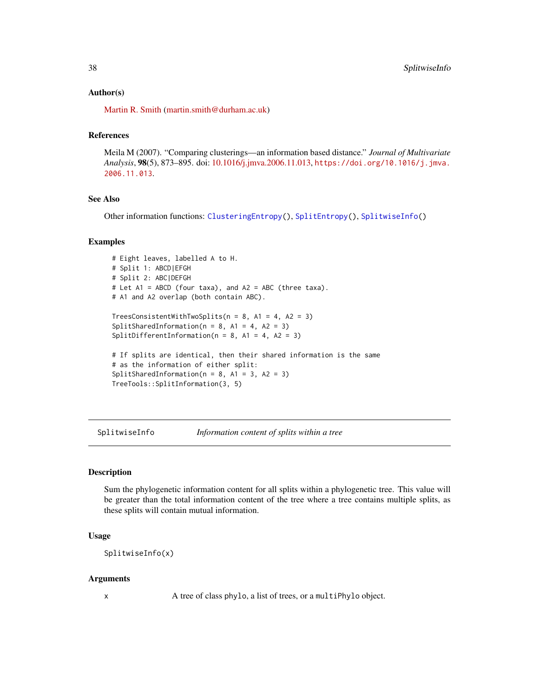#### <span id="page-37-0"></span>Author(s)

[Martin R. Smith](https://orcid.org/0000-0001-5660-1727) [\(martin.smith@durham.ac.uk\)](mailto:martin.smith@durham.ac.uk)

# References

Meila M (2007). "Comparing clusterings—an information based distance." *Journal of Multivariate Analysis*, 98(5), 873–895. doi: [10.1016/j.jmva.2006.11.013,](https://doi.org/10.1016/j.jmva.2006.11.013) [https://doi.org/10.1016/j.jmva.](https://doi.org/10.1016/j.jmva.2006.11.013) [2006.11.013](https://doi.org/10.1016/j.jmva.2006.11.013).

# See Also

Other information functions: [ClusteringEntropy\(](#page-3-2)), [SplitEntropy\(](#page-34-1)), [SplitwiseInfo\(](#page-37-1))

# Examples

```
# Eight leaves, labelled A to H.
# Split 1: ABCD|EFGH
# Split 2: ABC|DEFGH
# Let A1 = ABCD (four taxa), and A2 = ABC (three taxa).
# A1 and A2 overlap (both contain ABC).
TreesConsistentWithTwoSplits(n = 8, A1 = 4, A2 = 3)
SplitSharedInformation(n = 8, A1 = 4, A2 = 3)
SplitDifferentInformation(n = 8, A1 = 4, A2 = 3)
# If splits are identical, then their shared information is the same
# as the information of either split:
SplitSharedInformation(n = 8, A1 = 3, A2 = 3)
TreeTools::SplitInformation(3, 5)
```
<span id="page-37-1"></span>SplitwiseInfo *Information content of splits within a tree*

#### Description

Sum the phylogenetic information content for all splits within a phylogenetic tree. This value will be greater than the total information content of the tree where a tree contains multiple splits, as these splits will contain mutual information.

#### Usage

SplitwiseInfo(x)

#### Arguments

x A tree of class phylo, a list of trees, or a multiPhylo object.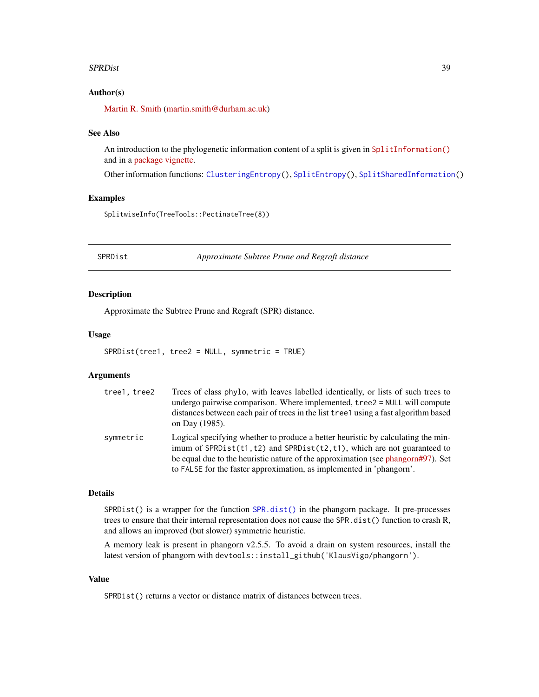#### <span id="page-38-0"></span>SPRDist 39

# Author(s)

[Martin R. Smith](https://orcid.org/0000-0001-5660-1727) [\(martin.smith@durham.ac.uk\)](mailto:martin.smith@durham.ac.uk)

#### See Also

An introduction to the phylogenetic information content of a split is given in [SplitInformation\(\)](https://ms609.github.io/TreeTools/reference/SplitInformation.html) and in a [package vignette.](https://ms609.github.io/TreeDist/articles/information.html)

Other information functions: [ClusteringEntropy\(](#page-3-2)), [SplitEntropy\(](#page-34-1)), [SplitSharedInformation\(](#page-36-1))

# Examples

SplitwiseInfo(TreeTools::PectinateTree(8))

<span id="page-38-1"></span>SPRDist *Approximate Subtree Prune and Regraft distance*

#### Description

Approximate the Subtree Prune and Regraft (SPR) distance.

#### Usage

```
SPRDist(tree1, tree2 = NULL, symmetric = TRUE)
```
#### Arguments

| tree1, tree2 | Trees of class phylo, with leaves labelled identically, or lists of such trees to<br>undergo pairwise comparison. Where implemented, tree2 = NULL will compute<br>distances between each pair of trees in the list tree1 using a fast algorithm based<br>on Day (1985).                                                       |
|--------------|-------------------------------------------------------------------------------------------------------------------------------------------------------------------------------------------------------------------------------------------------------------------------------------------------------------------------------|
| symmetric    | Logical specifying whether to produce a better heuristic by calculating the min-<br>imum of $SPRDist(t1, t2)$ and $SPRDist(t2, t1)$ , which are not guaranteed to<br>be equal due to the heuristic nature of the approximation (see phangorn#97). Set<br>to FALSE for the faster approximation, as implemented in 'phangorn'. |

# Details

SPRDist() is a wrapper for the function [SPR.dist\(\)](#page-0-0) in the phangorn package. It pre-processes trees to ensure that their internal representation does not cause the SPR.dist() function to crash R, and allows an improved (but slower) symmetric heuristic.

A memory leak is present in phangorn v2.5.5. To avoid a drain on system resources, install the latest version of phangorn with devtools::install\_github('KlausVigo/phangorn').

# Value

SPRDist() returns a vector or distance matrix of distances between trees.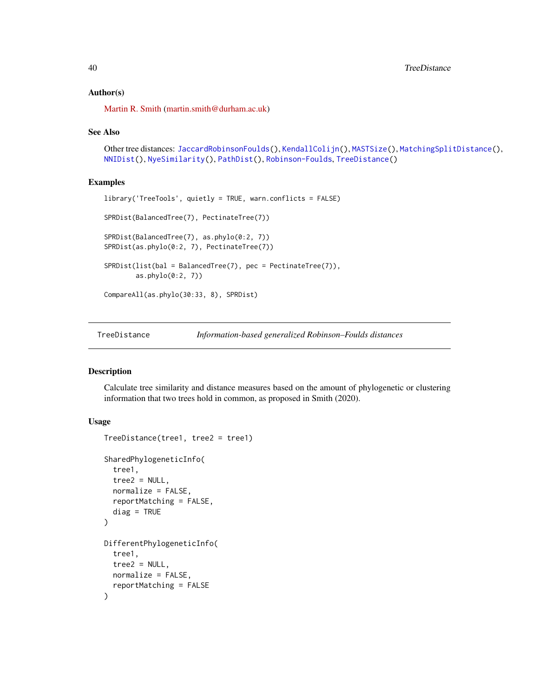# <span id="page-39-0"></span>Author(s)

[Martin R. Smith](https://orcid.org/0000-0001-5660-1727) [\(martin.smith@durham.ac.uk\)](mailto:martin.smith@durham.ac.uk)

#### See Also

```
Other tree distances: JaccardRobinsonFoulds(), KendallColijn(), MASTSize(), MatchingSplitDistance(),
NNIDist(), NyeSimilarity(), PathDist(), Robinson-Foulds, TreeDistance()
```
#### Examples

```
library('TreeTools', quietly = TRUE, warn.conflicts = FALSE)
SPRDist(BalancedTree(7), PectinateTree(7))
SPRDist(BalancedTree(7), as.phylo(0:2, 7))
SPRDist(as.phylo(0:2, 7), PectinateTree(7))
SPRDist(list(bal = BalancedTree(7), pec = PectinateTree(7)),
       as.phylo(0:2, 7))
CompareAll(as.phylo(30:33, 8), SPRDist)
```
<span id="page-39-1"></span>

TreeDistance *Information-based generalized Robinson–Foulds distances*

#### <span id="page-39-2"></span>Description

Calculate tree similarity and distance measures based on the amount of phylogenetic or clustering information that two trees hold in common, as proposed in Smith (2020).

# Usage

```
TreeDistance(tree1, tree2 = tree1)
SharedPhylogeneticInfo(
  tree1,
  tree2 = NULL,normalize = FALSE,
  reportMatching = FALSE,
  diag = TRUE)
DifferentPhylogeneticInfo(
  tree1,
  tree2 = NULL,normalize = FALSE,
  reportMatching = FALSE
)
```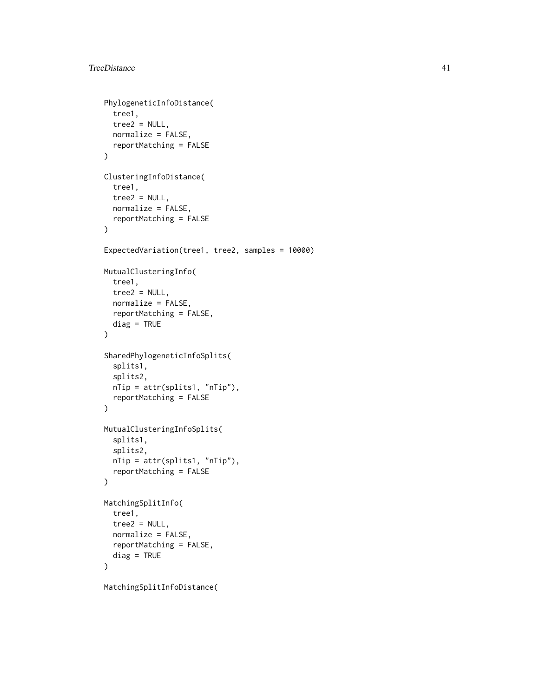```
PhylogeneticInfoDistance(
  tree1,
  tree2 = NULL,normalize = FALSE,
  reportMatching = FALSE
\mathcal{L}ClusteringInfoDistance(
  tree1,
  tree2 = NULL,
  normalize = FALSE,
  reportMatching = FALSE
)
ExpectedVariation(tree1, tree2, samples = 10000)
MutualClusteringInfo(
  tree1,
  tree2 = NULL,
 normalize = FALSE,
  reportMatching = FALSE,
 diag = TRUE
\mathcal{L}SharedPhylogeneticInfoSplits(
  splits1,
  splits2,
 nTip = attr(splits1, "nTip"),
 reportMatching = FALSE
\mathcal{L}MutualClusteringInfoSplits(
  splits1,
  splits2,
 nTip = attr(splits1, "nTip"),
 reportMatching = FALSE
\lambdaMatchingSplitInfo(
  tree1,
  tree2 = NULL,
  normalize = FALSE,
  reportMatching = FALSE,
 diag = TRUE
)
MatchingSplitInfoDistance(
```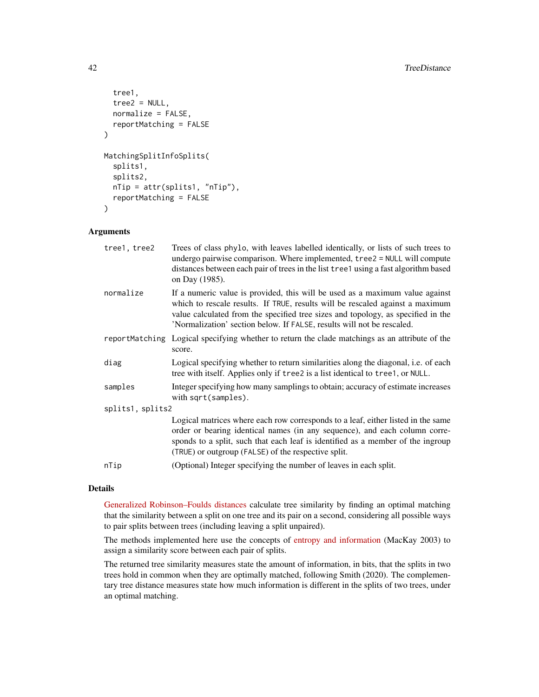```
tree1,
  tree2 = NULL,
  normalize = FALSE,
  reportMatching = FALSE
\lambdaMatchingSplitInfoSplits(
  splits1,
  splits2,
  nTip = attr(splits1, "nTip"),
  reportMatching = FALSE
\mathcal{E}
```
# Arguments

| tree1, tree2     | Trees of class phylo, with leaves labelled identically, or lists of such trees to<br>undergo pairwise comparison. Where implemented, tree2 = NULL will compute<br>distances between each pair of trees in the list tree1 using a fast algorithm based<br>on Day (1985).                                                     |
|------------------|-----------------------------------------------------------------------------------------------------------------------------------------------------------------------------------------------------------------------------------------------------------------------------------------------------------------------------|
| normalize        | If a numeric value is provided, this will be used as a maximum value against<br>which to rescale results. If TRUE, results will be rescaled against a maximum<br>value calculated from the specified tree sizes and topology, as specified in the<br>'Normalization' section below. If FALSE, results will not be rescaled. |
|                  | reportMatching Logical specifying whether to return the clade matchings as an attribute of the<br>score.                                                                                                                                                                                                                    |
| diag             | Logical specifying whether to return similarities along the diagonal, i.e. of each<br>tree with itself. Applies only if tree2 is a list identical to tree1, or NULL.                                                                                                                                                        |
| samples          | Integer specifying how many samplings to obtain; accuracy of estimate increases<br>with sqrt(samples).                                                                                                                                                                                                                      |
| splits1, splits2 |                                                                                                                                                                                                                                                                                                                             |
|                  | Logical matrices where each row corresponds to a leaf, either listed in the same<br>order or bearing identical names (in any sequence), and each column corre-<br>sponds to a split, such that each leaf is identified as a member of the ingroup<br>(TRUE) or outgroup (FALSE) of the respective split.                    |
| nTip             | (Optional) Integer specifying the number of leaves in each split.                                                                                                                                                                                                                                                           |
|                  |                                                                                                                                                                                                                                                                                                                             |

# Details

[Generalized Robinson–Foulds distances](https://ms609.github.io/TreeDist/articles/Robinson-Foulds.html#generalized-robinson-foulds-distances) calculate tree similarity by finding an optimal matching that the similarity between a split on one tree and its pair on a second, considering all possible ways to pair splits between trees (including leaving a split unpaired).

The methods implemented here use the concepts of [entropy and information](https://ms609.github.io/TreeDist/articles/information.html) (MacKay 2003) to assign a similarity score between each pair of splits.

The returned tree similarity measures state the amount of information, in bits, that the splits in two trees hold in common when they are optimally matched, following Smith (2020). The complementary tree distance measures state how much information is different in the splits of two trees, under an optimal matching.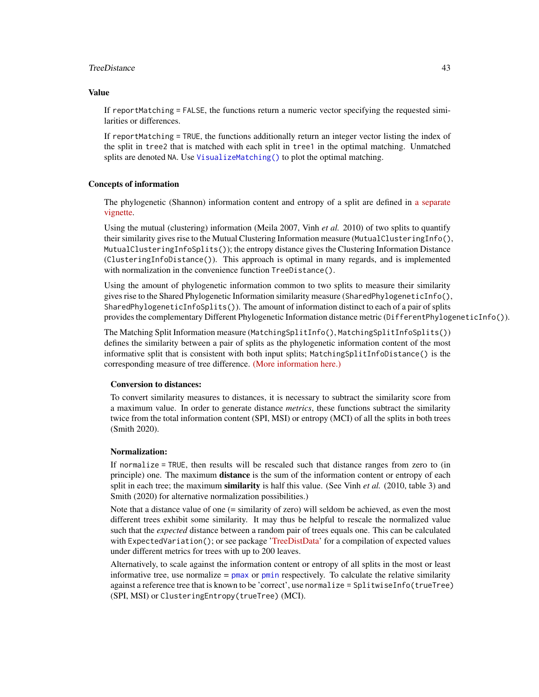#### <span id="page-42-0"></span>TreeDistance 43

# Value

If reportMatching = FALSE, the functions return a numeric vector specifying the requested similarities or differences.

If reportMatching = TRUE, the functions additionally return an integer vector listing the index of the split in tree2 that is matched with each split in tree1 in the optimal matching. Unmatched splits are denoted NA. Use [VisualizeMatching\(\)](#page-44-1) to plot the optimal matching.

#### Concepts of information

The phylogenetic (Shannon) information content and entropy of a split are defined in [a separate](https://ms609.github.io/TreeDist/articles/information.html) [vignette.](https://ms609.github.io/TreeDist/articles/information.html)

Using the mutual (clustering) information (Meila 2007, Vinh *et al.* 2010) of two splits to quantify their similarity gives rise to the Mutual Clustering Information measure (MutualClusteringInfo(), MutualClusteringInfoSplits()); the entropy distance gives the Clustering Information Distance (ClusteringInfoDistance()). This approach is optimal in many regards, and is implemented with normalization in the convenience function TreeDistance().

Using the amount of phylogenetic information common to two splits to measure their similarity gives rise to the Shared Phylogenetic Information similarity measure (SharedPhylogeneticInfo(), SharedPhylogeneticInfoSplits()). The amount of information distinct to each of a pair of splits provides the complementary Different Phylogenetic Information distance metric (DifferentPhylogeneticInfo()).

The Matching Split Information measure (MatchingSplitInfo(), MatchingSplitInfoSplits()) defines the similarity between a pair of splits as the phylogenetic information content of the most informative split that is consistent with both input splits; MatchingSplitInfoDistance() is the corresponding measure of tree difference. [\(More information here.\)](https://ms609.github.io/TreeDist/articles/Generalized-RF.html)

#### Conversion to distances:

To convert similarity measures to distances, it is necessary to subtract the similarity score from a maximum value. In order to generate distance *metrics*, these functions subtract the similarity twice from the total information content (SPI, MSI) or entropy (MCI) of all the splits in both trees (Smith 2020).

#### Normalization:

If normalize = TRUE, then results will be rescaled such that distance ranges from zero to (in principle) one. The maximum **distance** is the sum of the information content or entropy of each split in each tree; the maximum similarity is half this value. (See Vinh *et al.* (2010, table 3) and Smith (2020) for alternative normalization possibilities.)

Note that a distance value of one (= similarity of zero) will seldom be achieved, as even the most different trees exhibit some similarity. It may thus be helpful to rescale the normalized value such that the *expected* distance between a random pair of trees equals one. This can be calculated with ExpectedVariation(); or see package ['TreeDistData'](https://ms609.github.io/TreeDistData/reference/randomTreeDistances.html) for a compilation of expected values under different metrics for trees with up to 200 leaves.

Alternatively, to scale against the information content or entropy of all splits in the most or least informative tree, use normalize  $=$  [pmax](#page-0-0) or [pmin](#page-0-0) respectively. To calculate the relative similarity against a reference tree that is known to be 'correct', use normalize = SplitwiseInfo(trueTree) (SPI, MSI) or ClusteringEntropy(trueTree) (MCI).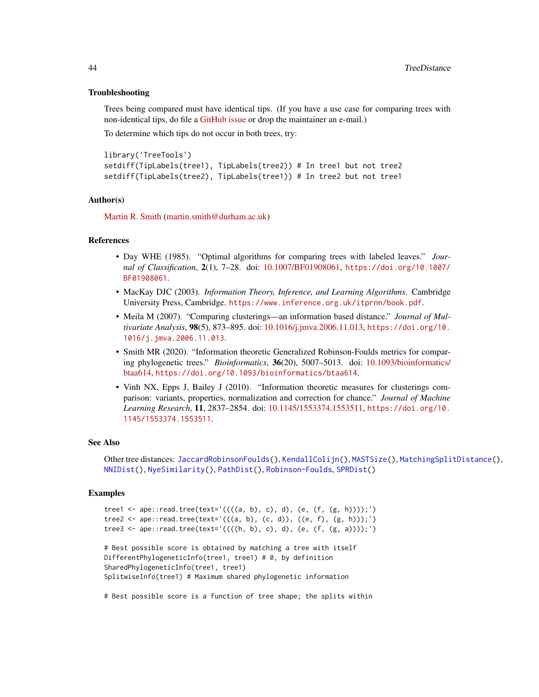#### Troubleshooting

Trees being compared must have identical tips. (If you have a use case for comparing trees with non-identical tips, do file a [GitHub issue](https://github.com/ms609/TreeDist/issues/new?title=Non-identical+tips) or drop the maintainer an e-mail.)

To determine which tips do not occur in both trees, try:

```
library('TreeTools')
setdiff(TipLabels(tree1), TipLabels(tree2)) # In tree1 but not tree2
setdiff(TipLabels(tree2), TipLabels(tree1)) # In tree2 but not tree1
```
#### Author(s)

[Martin R. Smith](https://orcid.org/0000-0001-5660-1727) [\(martin.smith@durham.ac.uk\)](mailto:martin.smith@durham.ac.uk)

#### **References**

- Day WHE (1985). "Optimal algorithms for comparing trees with labeled leaves." *Journal of Classification*, 2(1), 7–28. doi: [10.1007/BF01908061,](https://doi.org/10.1007/BF01908061) [https://doi.org/10.1007/](https://doi.org/10.1007/BF01908061) [BF01908061](https://doi.org/10.1007/BF01908061).
- MacKay DJC (2003). *Information Theory, Inference, and Learning Algorithms*. Cambridge University Press, Cambridge. <https://www.inference.org.uk/itprnn/book.pdf>.
- Meila M (2007). "Comparing clusterings—an information based distance." *Journal of Multivariate Analysis*, 98(5), 873–895. doi: [10.1016/j.jmva.2006.11.013,](https://doi.org/10.1016/j.jmva.2006.11.013) [https://doi.org/10.](https://doi.org/10.1016/j.jmva.2006.11.013) [1016/j.jmva.2006.11.013](https://doi.org/10.1016/j.jmva.2006.11.013).
- Smith MR (2020). "Information theoretic Generalized Robinson-Foulds metrics for comparing phylogenetic trees." *Bioinformatics*, 36(20), 5007–5013. doi: [10.1093/bioinformatics/](https://doi.org/10.1093/bioinformatics/btaa614) [btaa614,](https://doi.org/10.1093/bioinformatics/btaa614) <https://doi.org/10.1093/bioinformatics/btaa614>.
- Vinh NX, Epps J, Bailey J (2010). "Information theoretic measures for clusterings comparison: variants, properties, normalization and correction for chance." *Journal of Machine Learning Research*, 11, 2837–2854. doi: [10.1145/1553374.1553511,](https://doi.org/10.1145/1553374.1553511) [https://doi.org/10.](https://doi.org/10.1145/1553374.1553511) [1145/1553374.1553511](https://doi.org/10.1145/1553374.1553511).

#### See Also

Other tree distances: [JaccardRobinsonFoulds\(](#page-9-1)), [KendallColijn\(](#page-12-1)), [MASTSize\(](#page-14-1)), [MatchingSplitDistance\(](#page-16-1)), [NNIDist\(](#page-21-1)), [NyeSimilarity\(](#page-23-1)), [PathDist\(](#page-25-1)), [Robinson-Foulds](#page-30-1), [SPRDist\(](#page-38-1))

#### Examples

```
tree1 <- ape::read.tree(text='((((a, b), c), d), (e, (f, (g, h))));')
tree2 <- ape::read.tree(text='(((a, b), (c, d)), ((e, f), (g, h)));')
tree3 <- ape::read.tree(text='((((h, b), c), d), (e, (f, (g, a))));')
# Best possible score is obtained by matching a tree with itself
```
DifferentPhylogeneticInfo(tree1, tree1) # 0, by definition SharedPhylogeneticInfo(tree1, tree1) SplitwiseInfo(tree1) # Maximum shared phylogenetic information

# Best possible score is a function of tree shape; the splits within

<span id="page-43-0"></span>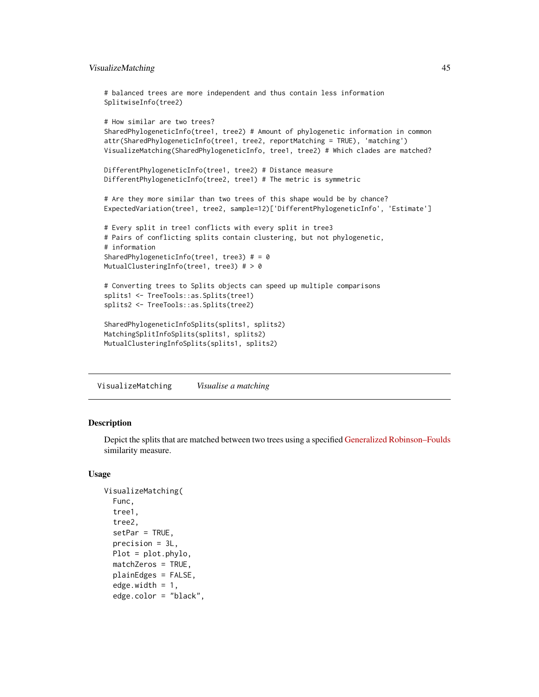# <span id="page-44-0"></span>VisualizeMatching 45

```
# balanced trees are more independent and thus contain less information
SplitwiseInfo(tree2)
# How similar are two trees?
SharedPhylogeneticInfo(tree1, tree2) # Amount of phylogenetic information in common
attr(SharedPhylogeneticInfo(tree1, tree2, reportMatching = TRUE), 'matching')
VisualizeMatching(SharedPhylogeneticInfo, tree1, tree2) # Which clades are matched?
DifferentPhylogeneticInfo(tree1, tree2) # Distance measure
DifferentPhylogeneticInfo(tree2, tree1) # The metric is symmetric
# Are they more similar than two trees of this shape would be by chance?
ExpectedVariation(tree1, tree2, sample=12)['DifferentPhylogeneticInfo', 'Estimate']
# Every split in tree1 conflicts with every split in tree3
# Pairs of conflicting splits contain clustering, but not phylogenetic,
# information
SharedPhylogeneticInfo(tree1, tree3) # = 0
MutualClusteringInfo(tree1, tree3) # > 0
# Converting trees to Splits objects can speed up multiple comparisons
splits1 <- TreeTools::as.Splits(tree1)
splits2 <- TreeTools::as.Splits(tree2)
SharedPhylogeneticInfoSplits(splits1, splits2)
MatchingSplitInfoSplits(splits1, splits2)
MutualClusteringInfoSplits(splits1, splits2)
```
<span id="page-44-1"></span>VisualizeMatching *Visualise a matching*

#### Description

Depict the splits that are matched between two trees using a specified [Generalized Robinson–Foulds](https://ms609.github.io/TreeDist/articles/Generalized-RF.html) similarity measure.

#### Usage

```
VisualizeMatching(
  Func,
  tree1,
  tree2,
  setPar = TRUE,
  precision = 3L,
  Plot = plot.phylo,
  matchZeros = TRUE,
  plainEdges = FALSE,
  edge. width = 1,edge.color = "black",
```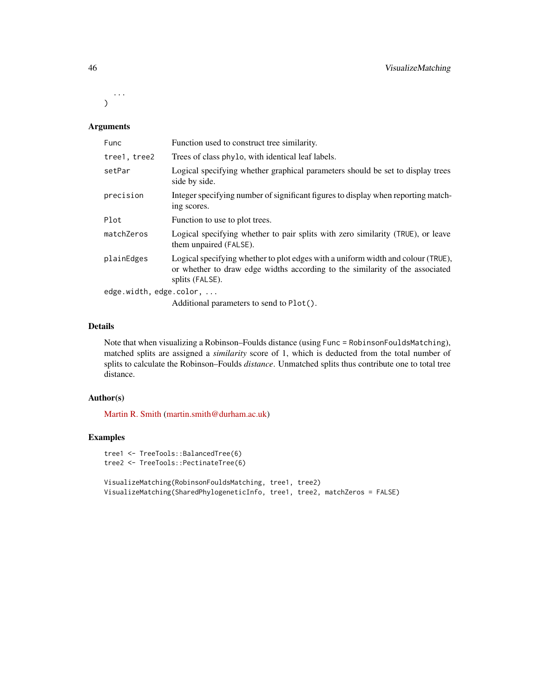... )

# Arguments

| Func                    | Function used to construct tree similarity.                                                                                                                                         |
|-------------------------|-------------------------------------------------------------------------------------------------------------------------------------------------------------------------------------|
| tree1, tree2            | Trees of class phylo, with identical leaf labels.                                                                                                                                   |
| setPar                  | Logical specifying whether graphical parameters should be set to display trees<br>side by side.                                                                                     |
| precision               | Integer specifying number of significant figures to display when reporting match-<br>ing scores.                                                                                    |
| Plot                    | Function to use to plot trees.                                                                                                                                                      |
| matchZeros              | Logical specifying whether to pair splits with zero similarity (TRUE), or leave<br>them unpaired (FALSE).                                                                           |
| plainEdges              | Logical specifying whether to plot edges with a uniform width and colour (TRUE),<br>or whether to draw edge widths according to the similarity of the associated<br>splits (FALSE). |
| edge.width, edge.color, |                                                                                                                                                                                     |
|                         | Additional parameters to send to Plot().                                                                                                                                            |

# Details

Note that when visualizing a Robinson–Foulds distance (using Func = RobinsonFouldsMatching), matched splits are assigned a *similarity* score of 1, which is deducted from the total number of splits to calculate the Robinson–Foulds *distance*. Unmatched splits thus contribute one to total tree distance.

# Author(s)

[Martin R. Smith](https://orcid.org/0000-0001-5660-1727) [\(martin.smith@durham.ac.uk\)](mailto:martin.smith@durham.ac.uk)

# Examples

```
tree1 <- TreeTools::BalancedTree(6)
tree2 <- TreeTools::PectinateTree(6)
VisualizeMatching(RobinsonFouldsMatching, tree1, tree2)
VisualizeMatching(SharedPhylogeneticInfo, tree1, tree2, matchZeros = FALSE)
```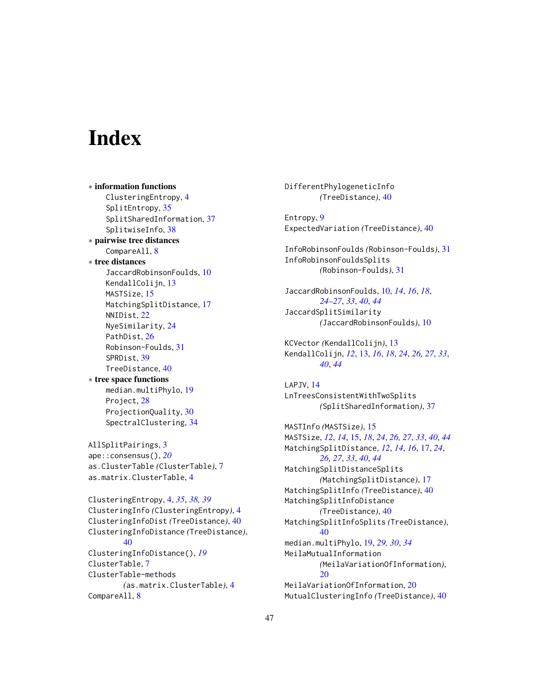# <span id="page-46-0"></span>**Index**

∗ information functions ClusteringEntropy, [4](#page-3-0) SplitEntropy, [35](#page-34-0) SplitSharedInformation, [37](#page-36-0) SplitwiseInfo, [38](#page-37-0) ∗ pairwise tree distances CompareAll, [8](#page-7-0) ∗ tree distances JaccardRobinsonFoulds, [10](#page-9-0) KendallColijn, [13](#page-12-0) MASTSize, [15](#page-14-0) MatchingSplitDistance, [17](#page-16-0) NNIDist, [22](#page-21-0) NyeSimilarity, [24](#page-23-0) PathDist, [26](#page-25-0) Robinson-Foulds, [31](#page-30-0) SPRDist, [39](#page-38-0) TreeDistance, [40](#page-39-0) ∗ tree space functions median.multiPhylo, [19](#page-18-0) Project, [28](#page-27-0) ProjectionQuality, [30](#page-29-0) SpectralClustering, [34](#page-33-0) AllSplitPairings, [3](#page-2-0) ape::consensus(), *[20](#page-19-0)* as.ClusterTable *(*ClusterTable*)*, [7](#page-6-0) as.matrix.ClusterTable, [4](#page-3-0) ClusteringEntropy, [4,](#page-3-0) *[35](#page-34-0)*, *[38,](#page-37-0) [39](#page-38-0)* ClusteringInfo *(*ClusteringEntropy*)*, [4](#page-3-0) ClusteringInfoDist *(*TreeDistance*)*, [40](#page-39-0) ClusteringInfoDistance *(*TreeDistance*)*, [40](#page-39-0) ClusteringInfoDistance(), *[19](#page-18-0)* ClusterTable, [7](#page-6-0) ClusterTable-methods *(*as.matrix.ClusterTable*)*, [4](#page-3-0) CompareAll, [8](#page-7-0)

DifferentPhylogeneticInfo *(*TreeDistance*)*, [40](#page-39-0) Entropy, [9](#page-8-0) ExpectedVariation *(*TreeDistance*)*, [40](#page-39-0) InfoRobinsonFoulds *(*Robinson-Foulds*)*, [31](#page-30-0) InfoRobinsonFouldsSplits *(*Robinson-Foulds*)*, [31](#page-30-0) JaccardRobinsonFoulds, [10,](#page-9-0) *[14](#page-13-0)*, *[16](#page-15-0)*, *[18](#page-17-0)*, *[24](#page-23-0)[–27](#page-26-0)*, *[33](#page-32-0)*, *[40](#page-39-0)*, *[44](#page-43-0)* JaccardSplitSimilarity *(*JaccardRobinsonFoulds*)*, [10](#page-9-0) KCVector *(*KendallColijn*)*, [13](#page-12-0) KendallColijn, *[12](#page-11-0)*, [13,](#page-12-0) *[16](#page-15-0)*, *[18](#page-17-0)*, *[24](#page-23-0)*, *[26,](#page-25-0) [27](#page-26-0)*, *[33](#page-32-0)*, *[40](#page-39-0)*, *[44](#page-43-0)* LAPJV, [14](#page-13-0) LnTreesConsistentWithTwoSplits *(*SplitSharedInformation*)*, [37](#page-36-0) MASTInfo *(*MASTSize*)*, [15](#page-14-0) MASTSize, *[12](#page-11-0)*, *[14](#page-13-0)*, [15,](#page-14-0) *[18](#page-17-0)*, *[24](#page-23-0)*, *[26,](#page-25-0) [27](#page-26-0)*, *[33](#page-32-0)*, *[40](#page-39-0)*, *[44](#page-43-0)* MatchingSplitDistance, *[12](#page-11-0)*, *[14](#page-13-0)*, *[16](#page-15-0)*, [17,](#page-16-0) *[24](#page-23-0)*, *[26,](#page-25-0) [27](#page-26-0)*, *[33](#page-32-0)*, *[40](#page-39-0)*, *[44](#page-43-0)* MatchingSplitDistanceSplits *(*MatchingSplitDistance*)*, [17](#page-16-0) MatchingSplitInfo *(*TreeDistance*)*, [40](#page-39-0) MatchingSplitInfoDistance *(*TreeDistance*)*, [40](#page-39-0) MatchingSplitInfoSplits *(*TreeDistance*)*, [40](#page-39-0) median.multiPhylo, [19,](#page-18-0) *[29,](#page-28-0) [30](#page-29-0)*, *[34](#page-33-0)* MeilaMutualInformation *(*MeilaVariationOfInformation*)*, [20](#page-19-0) MeilaVariationOfInformation, [20](#page-19-0) MutualClusteringInfo *(*TreeDistance*)*, [40](#page-39-0)